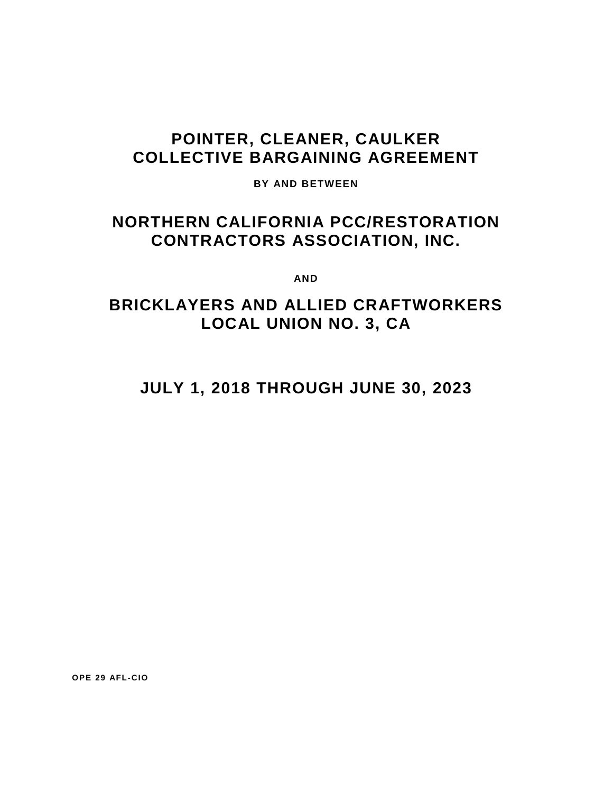# **POINTER, CLEANER, CAULKER COLLECTIVE BARGAINING AGREEMENT**

**BY AND BETWEEN**

# **NORTHERN CALIFORNIA PCC/RESTORATION CONTRACTORS ASSOCIATION, INC.**

**AND**

# **BRICKLAYERS AND ALLIED CRAFTWORKERS LOCAL UNION NO. 3, CA**

**JULY 1, 2018 THROUGH JUNE 30, 2023**

**OPE 29 AFL-CIO**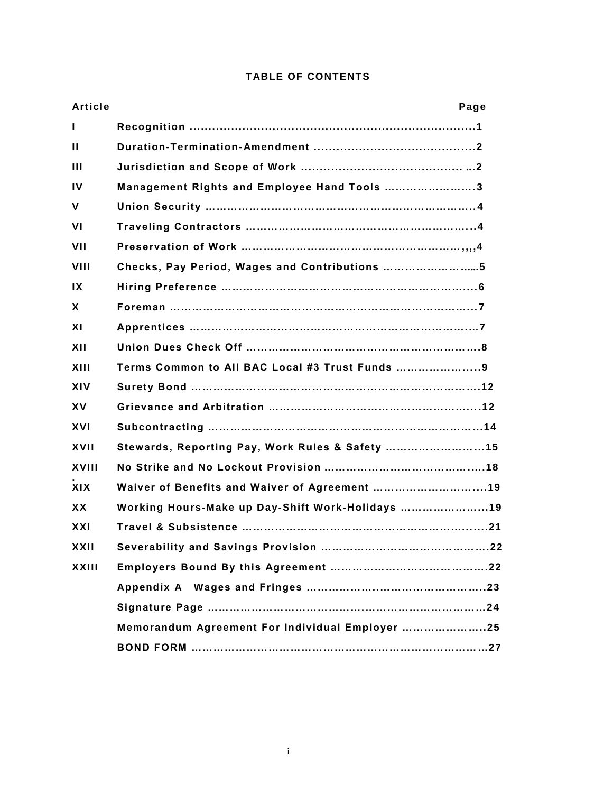| Article                 | Page                                            |
|-------------------------|-------------------------------------------------|
| $\mathbf{I}$            |                                                 |
| $\mathbf{H}$            |                                                 |
| $\mathbf{H}$            |                                                 |
| $\mathbf{I}$            | Management Rights and Employee Hand Tools 3     |
| $\mathsf{V}$            |                                                 |
| <b>VI</b>               |                                                 |
| VII                     |                                                 |
| <b>VIII</b>             | Checks, Pay Period, Wages and Contributions 5   |
| $\mathsf{I} \mathsf{X}$ |                                                 |
| X                       |                                                 |
| XI                      |                                                 |
| XII                     |                                                 |
| XIII                    | Terms Common to All BAC Local #3 Trust Funds    |
| XIV                     |                                                 |
| <b>XV</b>               |                                                 |
| <b>XVI</b>              |                                                 |
| XVII                    | Stewards, Reporting Pay, Work Rules & Safety 15 |
| XVIII                   |                                                 |
| <b>XIX</b>              | Waiver of Benefits and Waiver of Agreement 19   |
| <b>XX</b>               | Working Hours-Make up Day-Shift Work-Holidays   |
| <b>XXI</b>              |                                                 |
| XXII                    |                                                 |
| XXIII                   |                                                 |
|                         |                                                 |
|                         |                                                 |
|                         | Memorandum Agreement For Individual Employer 25 |
|                         |                                                 |

## **TABLE OF CONTENTS**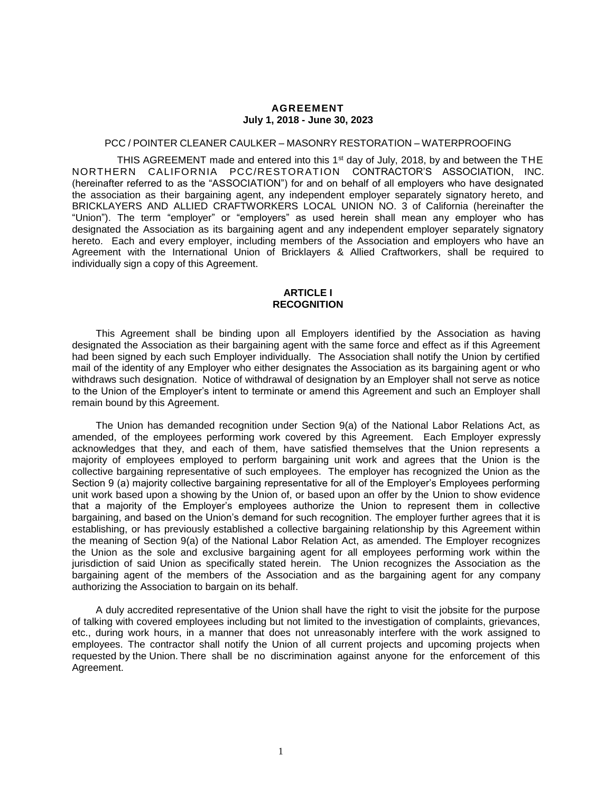#### **AGREEMENT July 1, 2018 - June 30, 2023**

## PCC / POINTER CLEANER CAULKER – MASONRY RESTORATION – WATERPROOFING

THIS AGREEMENT made and entered into this 1<sup>st</sup> day of July, 2018, by and between the THE NORTHERN CALIFORNIA PCC/RESTORATION CONTRACTOR'S ASSOCIATION, INC. (hereinafter referred to as the "ASSOCIATION") for and on behalf of all employers who have designated the association as their bargaining agent, any independent employer separately signatory hereto, and BRICKLAYERS AND ALLIED CRAFTWORKERS LOCAL UNION NO. 3 of California (hereinafter the "Union"). The term "employer" or "employers" as used herein shall mean any employer who has designated the Association as its bargaining agent and any independent employer separately signatory hereto. Each and every employer, including members of the Association and employers who have an Agreement with the International Union of Bricklayers & Allied Craftworkers, shall be required to individually sign a copy of this Agreement.

#### **ARTICLE I RECOGNITION**

This Agreement shall be binding upon all Employers identified by the Association as having designated the Association as their bargaining agent with the same force and effect as if this Agreement had been signed by each such Employer individually. The Association shall notify the Union by certified mail of the identity of any Employer who either designates the Association as its bargaining agent or who withdraws such designation. Notice of withdrawal of designation by an Employer shall not serve as notice to the Union of the Employer's intent to terminate or amend this Agreement and such an Employer shall remain bound by this Agreement.

The Union has demanded recognition under Section 9(a) of the National Labor Relations Act, as amended, of the employees performing work covered by this Agreement. Each Employer expressly acknowledges that they, and each of them, have satisfied themselves that the Union represents a majority of employees employed to perform bargaining unit work and agrees that the Union is the collective bargaining representative of such employees. The employer has recognized the Union as the Section 9 (a) majority collective bargaining representative for all of the Employer's Employees performing unit work based upon a showing by the Union of, or based upon an offer by the Union to show evidence that a majority of the Employer's employees authorize the Union to represent them in collective bargaining, and based on the Union's demand for such recognition. The employer further agrees that it is establishing, or has previously established a collective bargaining relationship by this Agreement within the meaning of Section 9(a) of the National Labor Relation Act, as amended. The Employer recognizes the Union as the sole and exclusive bargaining agent for all employees performing work within the jurisdiction of said Union as specifically stated herein. The Union recognizes the Association as the bargaining agent of the members of the Association and as the bargaining agent for any company authorizing the Association to bargain on its behalf.

A duly accredited representative of the Union shall have the right to visit the jobsite for the purpose of talking with covered employees including but not limited to the investigation of complaints, grievances, etc., during work hours, in a manner that does not unreasonably interfere with the work assigned to employees. The contractor shall notify the Union of all current projects and upcoming projects when requested by the Union. There shall be no discrimination against anyone for the enforcement of this Agreement.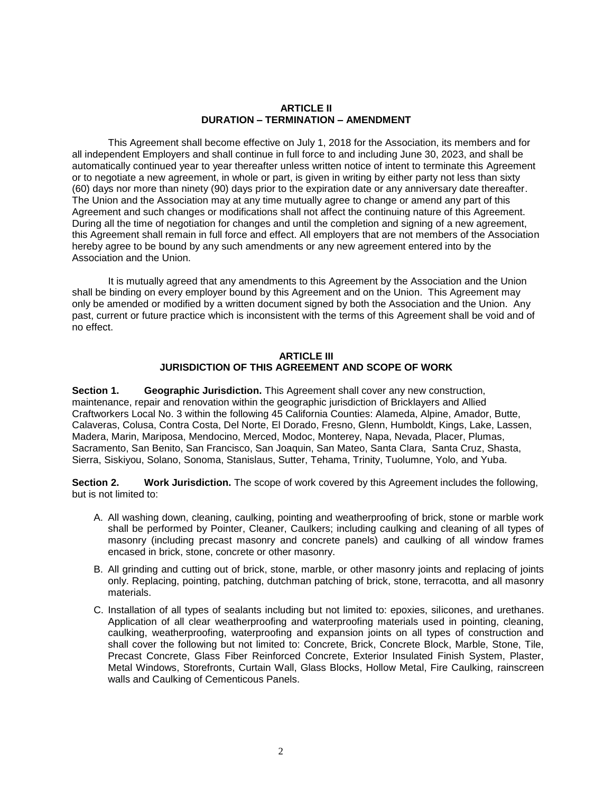#### **ARTICLE II DURATION – TERMINATION – AMENDMENT**

This Agreement shall become effective on July 1, 2018 for the Association, its members and for all independent Employers and shall continue in full force to and including June 30, 2023, and shall be automatically continued year to year thereafter unless written notice of intent to terminate this Agreement or to negotiate a new agreement, in whole or part, is given in writing by either party not less than sixty (60) days nor more than ninety (90) days prior to the expiration date or any anniversary date thereafter. The Union and the Association may at any time mutually agree to change or amend any part of this Agreement and such changes or modifications shall not affect the continuing nature of this Agreement. During all the time of negotiation for changes and until the completion and signing of a new agreement, this Agreement shall remain in full force and effect. All employers that are not members of the Association hereby agree to be bound by any such amendments or any new agreement entered into by the Association and the Union.

It is mutually agreed that any amendments to this Agreement by the Association and the Union shall be binding on every employer bound by this Agreement and on the Union. This Agreement may only be amended or modified by a written document signed by both the Association and the Union. Any past, current or future practice which is inconsistent with the terms of this Agreement shall be void and of no effect.

### **ARTICLE III JURISDICTION OF THIS AGREEMENT AND SCOPE OF WORK**

**Section 1. Geographic Jurisdiction.** This Agreement shall cover any new construction, maintenance, repair and renovation within the geographic jurisdiction of Bricklayers and Allied Craftworkers Local No. 3 within the following 45 California Counties: Alameda, Alpine, Amador, Butte, Calaveras, Colusa, Contra Costa, Del Norte, El Dorado, Fresno, Glenn, Humboldt, Kings, Lake, Lassen, Madera, Marin, Mariposa, Mendocino, Merced, Modoc, Monterey, Napa, Nevada, Placer, Plumas, Sacramento, San Benito, San Francisco, San Joaquin, San Mateo, Santa Clara, Santa Cruz, Shasta, Sierra, Siskiyou, Solano, Sonoma, Stanislaus, Sutter, Tehama, Trinity, Tuolumne, Yolo, and Yuba.

**Section 2. Work Jurisdiction.** The scope of work covered by this Agreement includes the following, but is not limited to:

- A. All washing down, cleaning, caulking, pointing and weatherproofing of brick, stone or marble work shall be performed by Pointer, Cleaner, Caulkers; including caulking and cleaning of all types of masonry (including precast masonry and concrete panels) and caulking of all window frames encased in brick, stone, concrete or other masonry.
- B. All grinding and cutting out of brick, stone, marble, or other masonry joints and replacing of joints only. Replacing, pointing, patching, dutchman patching of brick, stone, terracotta, and all masonry materials.
- C. Installation of all types of sealants including but not limited to: epoxies, silicones, and urethanes. Application of all clear weatherproofing and waterproofing materials used in pointing, cleaning, caulking, weatherproofing, waterproofing and expansion joints on all types of construction and shall cover the following but not limited to: Concrete, Brick, Concrete Block, Marble, Stone, Tile, Precast Concrete, Glass Fiber Reinforced Concrete, Exterior Insulated Finish System, Plaster, Metal Windows, Storefronts, Curtain Wall, Glass Blocks, Hollow Metal, Fire Caulking, rainscreen walls and Caulking of Cementicous Panels.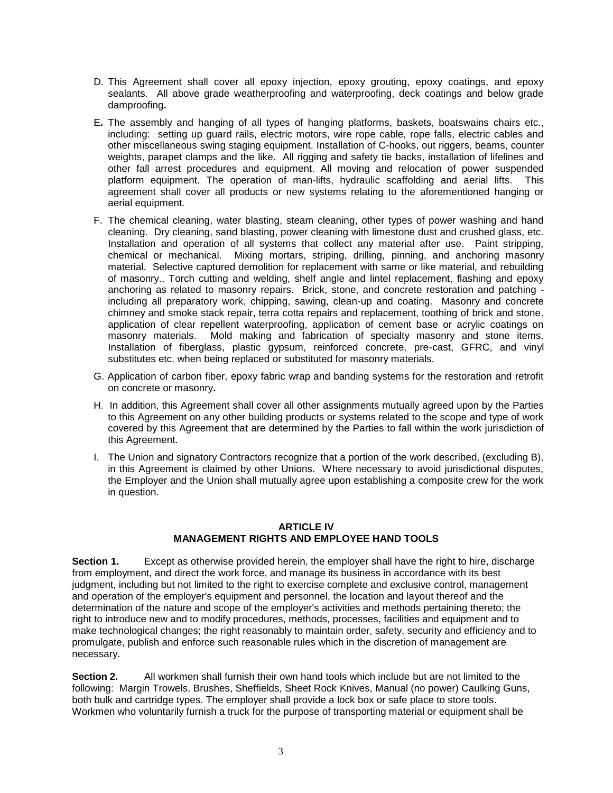- D. This Agreement shall cover all epoxy injection, epoxy grouting, epoxy coatings, and epoxy sealants. All above grade weatherproofing and waterproofing, deck coatings and below grade damproofing**.**
- E**.** The assembly and hanging of all types of hanging platforms, baskets, boatswains chairs etc., including: setting up guard rails, electric motors, wire rope cable, rope falls, electric cables and other miscellaneous swing staging equipment. Installation of C-hooks, out riggers, beams, counter weights, parapet clamps and the like. All rigging and safety tie backs, installation of lifelines and other fall arrest procedures and equipment. All moving and relocation of power suspended platform equipment. The operation of man-lifts, hydraulic scaffolding and aerial lifts. This agreement shall cover all products or new systems relating to the aforementioned hanging or aerial equipment.
- F. The chemical cleaning, water blasting, steam cleaning, other types of power washing and hand cleaning. Dry cleaning, sand blasting, power cleaning with limestone dust and crushed glass, etc. Installation and operation of all systems that collect any material after use. Paint stripping, chemical or mechanical. Mixing mortars, striping, drilling, pinning, and anchoring masonry material. Selective captured demolition for replacement with same or like material, and rebuilding of masonry., Torch cutting and welding, shelf angle and lintel replacement, flashing and epoxy anchoring as related to masonry repairs. Brick, stone, and concrete restoration and patching including all preparatory work, chipping, sawing, clean-up and coating. Masonry and concrete chimney and smoke stack repair, terra cotta repairs and replacement, toothing of brick and stone, application of clear repellent waterproofing, application of cement base or acrylic coatings on masonry materials. Mold making and fabrication of specialty masonry and stone items. Installation of fiberglass, plastic gypsum, reinforced concrete, pre-cast, GFRC, and vinyl substitutes etc. when being replaced or substituted for masonry materials.
- G. Application of carbon fiber, epoxy fabric wrap and banding systems for the restoration and retrofit on concrete or masonry**.**
- H. In addition, this Agreement shall cover all other assignments mutually agreed upon by the Parties to this Agreement on any other building products or systems related to the scope and type of work covered by this Agreement that are determined by the Parties to fall within the work jurisdiction of this Agreement.
- I. The Union and signatory Contractors recognize that a portion of the work described, (excluding B), in this Agreement is claimed by other Unions. Where necessary to avoid jurisdictional disputes, the Employer and the Union shall mutually agree upon establishing a composite crew for the work in question.

## **ARTICLE IV MANAGEMENT RIGHTS AND EMPLOYEE HAND TOOLS**

**Section 1.** Except as otherwise provided herein, the employer shall have the right to hire, discharge from employment, and direct the work force, and manage its business in accordance with its best judgment, including but not limited to the right to exercise complete and exclusive control, management and operation of the employer's equipment and personnel, the location and layout thereof and the determination of the nature and scope of the employer's activities and methods pertaining thereto; the right to introduce new and to modify procedures, methods, processes, facilities and equipment and to make technological changes; the right reasonably to maintain order, safety, security and efficiency and to promulgate, publish and enforce such reasonable rules which in the discretion of management are necessary.

**Section 2.** All workmen shall furnish their own hand tools which include but are not limited to the following: Margin Trowels, Brushes, Sheffields, Sheet Rock Knives, Manual (no power) Caulking Guns, both bulk and cartridge types. The employer shall provide a lock box or safe place to store tools. Workmen who voluntarily furnish a truck for the purpose of transporting material or equipment shall be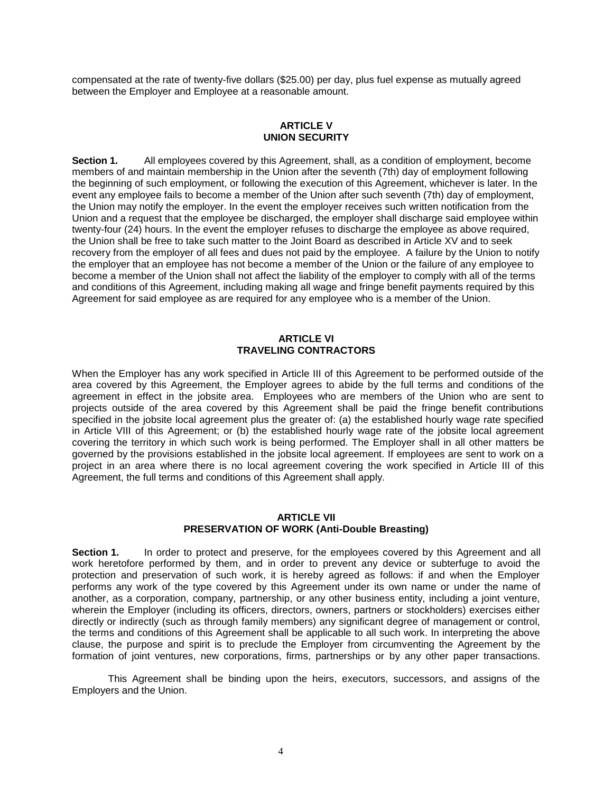compensated at the rate of twenty-five dollars (\$25.00) per day, plus fuel expense as mutually agreed between the Employer and Employee at a reasonable amount.

## **ARTICLE V UNION SECURITY**

**Section 1.** All employees covered by this Agreement, shall, as a condition of employment, become members of and maintain membership in the Union after the seventh (7th) day of employment following the beginning of such employment, or following the execution of this Agreement, whichever is later. In the event any employee fails to become a member of the Union after such seventh (7th) day of employment, the Union may notify the employer. In the event the employer receives such written notification from the Union and a request that the employee be discharged, the employer shall discharge said employee within twenty-four (24) hours. In the event the employer refuses to discharge the employee as above required, the Union shall be free to take such matter to the Joint Board as described in Article XV and to seek recovery from the employer of all fees and dues not paid by the employee. A failure by the Union to notify the employer that an employee has not become a member of the Union or the failure of any employee to become a member of the Union shall not affect the liability of the employer to comply with all of the terms and conditions of this Agreement, including making all wage and fringe benefit payments required by this Agreement for said employee as are required for any employee who is a member of the Union.

#### **ARTICLE VI TRAVELING CONTRACTORS**

When the Employer has any work specified in Article III of this Agreement to be performed outside of the area covered by this Agreement, the Employer agrees to abide by the full terms and conditions of the agreement in effect in the jobsite area. Employees who are members of the Union who are sent to projects outside of the area covered by this Agreement shall be paid the fringe benefit contributions specified in the jobsite local agreement plus the greater of: (a) the established hourly wage rate specified in Article VIII of this Agreement; or (b) the established hourly wage rate of the jobsite local agreement covering the territory in which such work is being performed. The Employer shall in all other matters be governed by the provisions established in the jobsite local agreement. If employees are sent to work on a project in an area where there is no local agreement covering the work specified in Article III of this Agreement, the full terms and conditions of this Agreement shall apply.

#### **ARTICLE VII PRESERVATION OF WORK (Anti-Double Breasting)**

**Section 1.** In order to protect and preserve, for the employees covered by this Agreement and all work heretofore performed by them, and in order to prevent any device or subterfuge to avoid the protection and preservation of such work, it is hereby agreed as follows: if and when the Employer performs any work of the type covered by this Agreement under its own name or under the name of another, as a corporation, company, partnership, or any other business entity, including a joint venture, wherein the Employer (including its officers, directors, owners, partners or stockholders) exercises either directly or indirectly (such as through family members) any significant degree of management or control, the terms and conditions of this Agreement shall be applicable to all such work. In interpreting the above clause, the purpose and spirit is to preclude the Employer from circumventing the Agreement by the formation of joint ventures, new corporations, firms, partnerships or by any other paper transactions.

This Agreement shall be binding upon the heirs, executors, successors, and assigns of the Employers and the Union.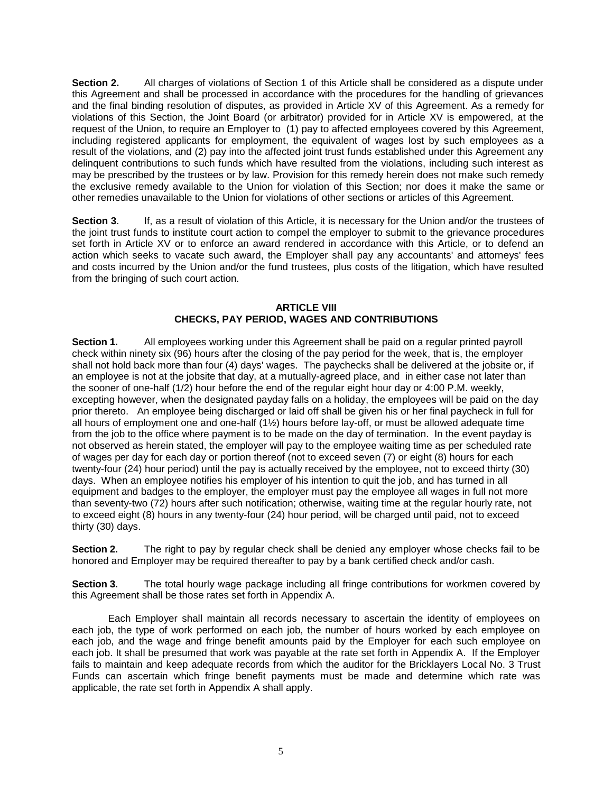**Section 2.** All charges of violations of Section 1 of this Article shall be considered as a dispute under this Agreement and shall be processed in accordance with the procedures for the handling of grievances and the final binding resolution of disputes, as provided in Article XV of this Agreement. As a remedy for violations of this Section, the Joint Board (or arbitrator) provided for in Article XV is empowered, at the request of the Union, to require an Employer to (1) pay to affected employees covered by this Agreement, including registered applicants for employment, the equivalent of wages lost by such employees as a result of the violations, and (2) pay into the affected joint trust funds established under this Agreement any delinquent contributions to such funds which have resulted from the violations, including such interest as may be prescribed by the trustees or by law. Provision for this remedy herein does not make such remedy the exclusive remedy available to the Union for violation of this Section; nor does it make the same or other remedies unavailable to the Union for violations of other sections or articles of this Agreement.

**Section 3.** If, as a result of violation of this Article, it is necessary for the Union and/or the trustees of the joint trust funds to institute court action to compel the employer to submit to the grievance procedures set forth in Article XV or to enforce an award rendered in accordance with this Article, or to defend an action which seeks to vacate such award, the Employer shall pay any accountants' and attorneys' fees and costs incurred by the Union and/or the fund trustees, plus costs of the litigation, which have resulted from the bringing of such court action.

## **ARTICLE VIII CHECKS, PAY PERIOD, WAGES AND CONTRIBUTIONS**

**Section 1.** All employees working under this Agreement shall be paid on a regular printed payroll check within ninety six (96) hours after the closing of the pay period for the week, that is, the employer shall not hold back more than four (4) days' wages. The paychecks shall be delivered at the jobsite or, if an employee is not at the jobsite that day, at a mutually-agreed place, and in either case not later than the sooner of one-half (1/2) hour before the end of the regular eight hour day or 4:00 P.M. weekly, excepting however, when the designated payday falls on a holiday, the employees will be paid on the day prior thereto. An employee being discharged or laid off shall be given his or her final paycheck in full for all hours of employment one and one-half (1½) hours before lay-off, or must be allowed adequate time from the job to the office where payment is to be made on the day of termination. In the event payday is not observed as herein stated, the employer will pay to the employee waiting time as per scheduled rate of wages per day for each day or portion thereof (not to exceed seven (7) or eight (8) hours for each twenty-four (24) hour period) until the pay is actually received by the employee, not to exceed thirty (30) days. When an employee notifies his employer of his intention to quit the job, and has turned in all equipment and badges to the employer, the employer must pay the employee all wages in full not more than seventy-two (72) hours after such notification; otherwise, waiting time at the regular hourly rate, not to exceed eight (8) hours in any twenty-four (24) hour period, will be charged until paid, not to exceed thirty (30) days.

**Section 2.** The right to pay by regular check shall be denied any employer whose checks fail to be honored and Employer may be required thereafter to pay by a bank certified check and/or cash.

**Section 3.** The total hourly wage package including all fringe contributions for workmen covered by this Agreement shall be those rates set forth in Appendix A.

Each Employer shall maintain all records necessary to ascertain the identity of employees on each job, the type of work performed on each job, the number of hours worked by each employee on each job, and the wage and fringe benefit amounts paid by the Employer for each such employee on each job. It shall be presumed that work was payable at the rate set forth in Appendix A. If the Employer fails to maintain and keep adequate records from which the auditor for the Bricklayers Local No. 3 Trust Funds can ascertain which fringe benefit payments must be made and determine which rate was applicable, the rate set forth in Appendix A shall apply.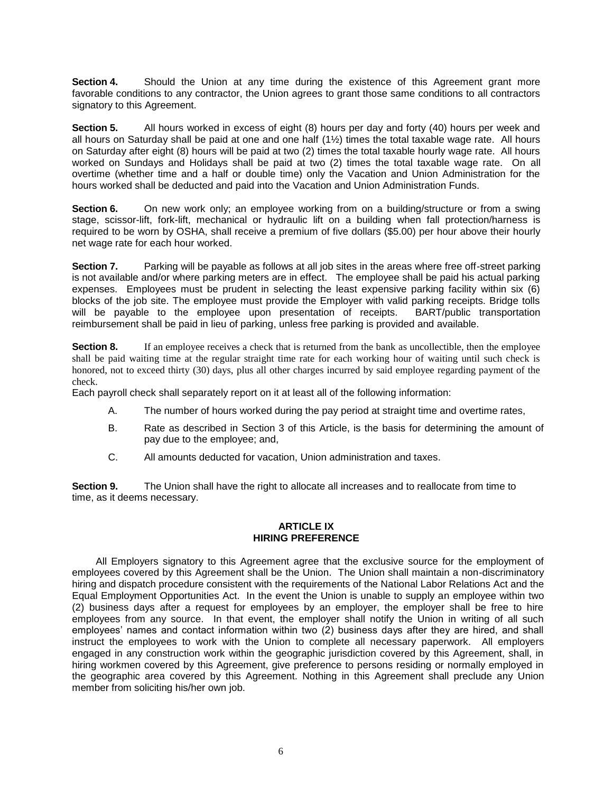**Section 4.** Should the Union at any time during the existence of this Agreement grant more favorable conditions to any contractor, the Union agrees to grant those same conditions to all contractors signatory to this Agreement.

**Section 5.** All hours worked in excess of eight (8) hours per day and forty (40) hours per week and all hours on Saturday shall be paid at one and one half (1½) times the total taxable wage rate. All hours on Saturday after eight (8) hours will be paid at two (2) times the total taxable hourly wage rate. All hours worked on Sundays and Holidays shall be paid at two (2) times the total taxable wage rate. On all overtime (whether time and a half or double time) only the Vacation and Union Administration for the hours worked shall be deducted and paid into the Vacation and Union Administration Funds.

**Section 6.** On new work only; an employee working from on a building/structure or from a swing stage, scissor-lift, fork-lift, mechanical or hydraulic lift on a building when fall protection/harness is required to be worn by OSHA, shall receive a premium of five dollars (\$5.00) per hour above their hourly net wage rate for each hour worked.

**Section 7.** Parking will be payable as follows at all job sites in the areas where free off-street parking is not available and/or where parking meters are in effect. The employee shall be paid his actual parking expenses. Employees must be prudent in selecting the least expensive parking facility within six (6) blocks of the job site. The employee must provide the Employer with valid parking receipts. Bridge tolls will be payable to the employee upon presentation of receipts. BART/public transportation reimbursement shall be paid in lieu of parking, unless free parking is provided and available.

**Section 8.** If an employee receives a check that is returned from the bank as uncollectible, then the employee shall be paid waiting time at the regular straight time rate for each working hour of waiting until such check is honored, not to exceed thirty (30) days, plus all other charges incurred by said employee regarding payment of the check.

Each payroll check shall separately report on it at least all of the following information:

- A. The number of hours worked during the pay period at straight time and overtime rates,
- B. Rate as described in Section 3 of this Article, is the basis for determining the amount of pay due to the employee; and,
- C. All amounts deducted for vacation, Union administration and taxes.

**Section 9.** The Union shall have the right to allocate all increases and to reallocate from time to time, as it deems necessary.

## **ARTICLE IX HIRING PREFERENCE**

All Employers signatory to this Agreement agree that the exclusive source for the employment of employees covered by this Agreement shall be the Union. The Union shall maintain a non-discriminatory hiring and dispatch procedure consistent with the requirements of the National Labor Relations Act and the Equal Employment Opportunities Act. In the event the Union is unable to supply an employee within two (2) business days after a request for employees by an employer, the employer shall be free to hire employees from any source. In that event, the employer shall notify the Union in writing of all such employees' names and contact information within two (2) business days after they are hired, and shall instruct the employees to work with the Union to complete all necessary paperwork. All employers engaged in any construction work within the geographic jurisdiction covered by this Agreement, shall, in hiring workmen covered by this Agreement, give preference to persons residing or normally employed in the geographic area covered by this Agreement. Nothing in this Agreement shall preclude any Union member from soliciting his/her own job.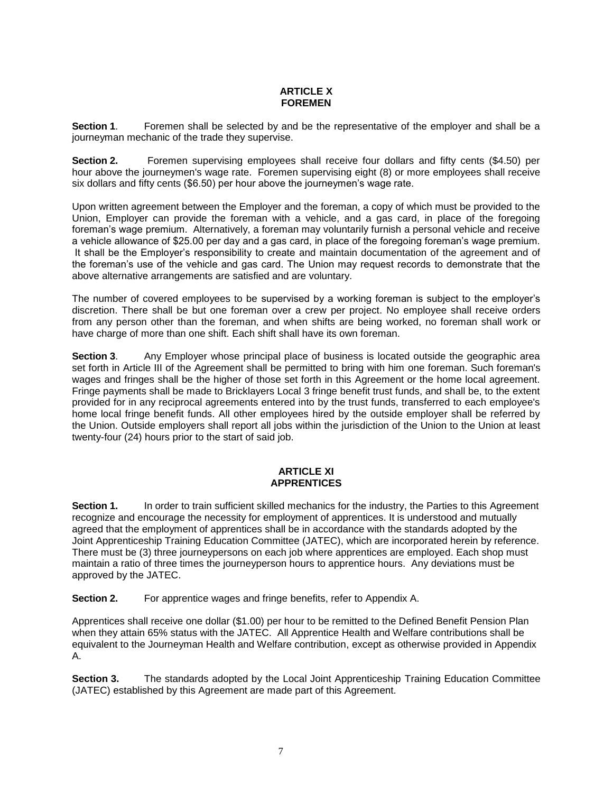## **ARTICLE X FOREMEN**

**Section 1.** Foremen shall be selected by and be the representative of the employer and shall be a journeyman mechanic of the trade they supervise.

**Section 2.** Foremen supervising employees shall receive four dollars and fifty cents (\$4.50) per hour above the journeymen's wage rate. Foremen supervising eight (8) or more employees shall receive six dollars and fifty cents (\$6.50) per hour above the journeymen's wage rate.

Upon written agreement between the Employer and the foreman, a copy of which must be provided to the Union, Employer can provide the foreman with a vehicle, and a gas card, in place of the foregoing foreman's wage premium. Alternatively, a foreman may voluntarily furnish a personal vehicle and receive a vehicle allowance of \$25.00 per day and a gas card, in place of the foregoing foreman's wage premium. It shall be the Employer's responsibility to create and maintain documentation of the agreement and of the foreman's use of the vehicle and gas card. The Union may request records to demonstrate that the above alternative arrangements are satisfied and are voluntary.

The number of covered employees to be supervised by a working foreman is subject to the employer's discretion. There shall be but one foreman over a crew per project. No employee shall receive orders from any person other than the foreman, and when shifts are being worked, no foreman shall work or have charge of more than one shift. Each shift shall have its own foreman.

**Section 3.** Any Employer whose principal place of business is located outside the geographic area set forth in Article III of the Agreement shall be permitted to bring with him one foreman. Such foreman's wages and fringes shall be the higher of those set forth in this Agreement or the home local agreement. Fringe payments shall be made to Bricklayers Local 3 fringe benefit trust funds, and shall be, to the extent provided for in any reciprocal agreements entered into by the trust funds, transferred to each employee's home local fringe benefit funds. All other employees hired by the outside employer shall be referred by the Union. Outside employers shall report all jobs within the jurisdiction of the Union to the Union at least twenty-four (24) hours prior to the start of said job.

## **ARTICLE XI APPRENTICES**

**Section 1.** In order to train sufficient skilled mechanics for the industry, the Parties to this Agreement recognize and encourage the necessity for employment of apprentices. It is understood and mutually agreed that the employment of apprentices shall be in accordance with the standards adopted by the Joint Apprenticeship Training Education Committee (JATEC), which are incorporated herein by reference. There must be (3) three journeypersons on each job where apprentices are employed. Each shop must maintain a ratio of three times the journeyperson hours to apprentice hours. Any deviations must be approved by the JATEC.

**Section 2.** For apprentice wages and fringe benefits, refer to Appendix A.

Apprentices shall receive one dollar (\$1.00) per hour to be remitted to the Defined Benefit Pension Plan when they attain 65% status with the JATEC. All Apprentice Health and Welfare contributions shall be equivalent to the Journeyman Health and Welfare contribution, except as otherwise provided in Appendix A.

**Section 3.** The standards adopted by the Local Joint Apprenticeship Training Education Committee (JATEC) established by this Agreement are made part of this Agreement.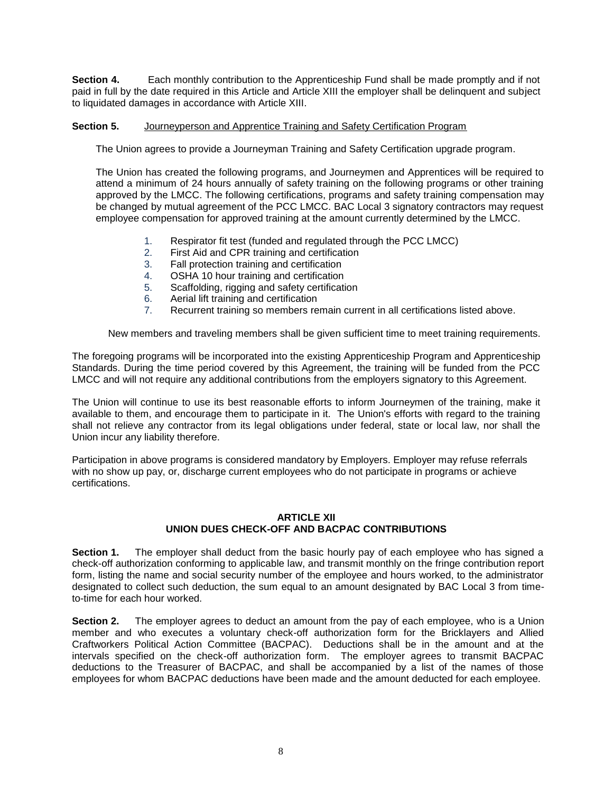**Section 4.** Each monthly contribution to the Apprenticeship Fund shall be made promptly and if not paid in full by the date required in this Article and Article XIII the employer shall be delinquent and subject to liquidated damages in accordance with Article XIII.

## **Section 5.** Journeyperson and Apprentice Training and Safety Certification Program

The Union agrees to provide a Journeyman Training and Safety Certification upgrade program.

The Union has created the following programs, and Journeymen and Apprentices will be required to attend a minimum of 24 hours annually of safety training on the following programs or other training approved by the LMCC. The following certifications, programs and safety training compensation may be changed by mutual agreement of the PCC LMCC. BAC Local 3 signatory contractors may request employee compensation for approved training at the amount currently determined by the LMCC.

- 1. Respirator fit test (funded and regulated through the PCC LMCC)
- 2. First Aid and CPR training and certification
- 3. Fall protection training and certification
- 4. OSHA 10 hour training and certification
- 5. Scaffolding, rigging and safety certification
- 6. Aerial lift training and certification
- 7. Recurrent training so members remain current in all certifications listed above.

New members and traveling members shall be given sufficient time to meet training requirements.

The foregoing programs will be incorporated into the existing Apprenticeship Program and Apprenticeship Standards. During the time period covered by this Agreement, the training will be funded from the PCC LMCC and will not require any additional contributions from the employers signatory to this Agreement.

The Union will continue to use its best reasonable efforts to inform Journeymen of the training, make it available to them, and encourage them to participate in it. The Union's efforts with regard to the training shall not relieve any contractor from its legal obligations under federal, state or local law, nor shall the Union incur any liability therefore.

Participation in above programs is considered mandatory by Employers. Employer may refuse referrals with no show up pay, or, discharge current employees who do not participate in programs or achieve certifications.

## **ARTICLE XII UNION DUES CHECK-OFF AND BACPAC CONTRIBUTIONS**

**Section 1.** The employer shall deduct from the basic hourly pay of each employee who has signed a check-off authorization conforming to applicable law, and transmit monthly on the fringe contribution report form, listing the name and social security number of the employee and hours worked, to the administrator designated to collect such deduction, the sum equal to an amount designated by BAC Local 3 from timeto-time for each hour worked.

**Section 2.** The employer agrees to deduct an amount from the pay of each employee, who is a Union member and who executes a voluntary check-off authorization form for the Bricklayers and Allied Craftworkers Political Action Committee (BACPAC). Deductions shall be in the amount and at the intervals specified on the check-off authorization form. The employer agrees to transmit BACPAC deductions to the Treasurer of BACPAC, and shall be accompanied by a list of the names of those employees for whom BACPAC deductions have been made and the amount deducted for each employee.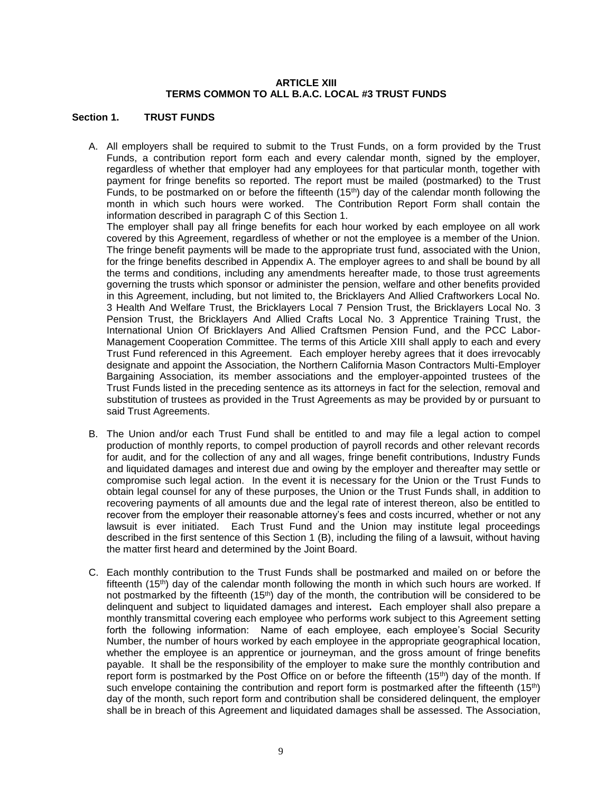## **ARTICLE XIII TERMS COMMON TO ALL B.A.C. LOCAL #3 TRUST FUNDS**

## **Section 1. TRUST FUNDS**

A. All employers shall be required to submit to the Trust Funds, on a form provided by the Trust Funds, a contribution report form each and every calendar month, signed by the employer, regardless of whether that employer had any employees for that particular month, together with payment for fringe benefits so reported. The report must be mailed (postmarked) to the Trust Funds, to be postmarked on or before the fifteenth  $(15<sup>th</sup>)$  day of the calendar month following the month in which such hours were worked. The Contribution Report Form shall contain the information described in paragraph C of this Section 1.

The employer shall pay all fringe benefits for each hour worked by each employee on all work covered by this Agreement, regardless of whether or not the employee is a member of the Union. The fringe benefit payments will be made to the appropriate trust fund, associated with the Union, for the fringe benefits described in Appendix A. The employer agrees to and shall be bound by all the terms and conditions, including any amendments hereafter made, to those trust agreements governing the trusts which sponsor or administer the pension, welfare and other benefits provided in this Agreement, including, but not limited to, the Bricklayers And Allied Craftworkers Local No. 3 Health And Welfare Trust, the Bricklayers Local 7 Pension Trust, the Bricklayers Local No. 3 Pension Trust, the Bricklayers And Allied Crafts Local No. 3 Apprentice Training Trust, the International Union Of Bricklayers And Allied Craftsmen Pension Fund, and the PCC Labor-Management Cooperation Committee. The terms of this Article XIII shall apply to each and every Trust Fund referenced in this Agreement.Each employer hereby agrees that it does irrevocably designate and appoint the Association, the Northern California Mason Contractors Multi-Employer Bargaining Association, its member associations and the employer-appointed trustees of the Trust Funds listed in the preceding sentence as its attorneys in fact for the selection, removal and substitution of trustees as provided in the Trust Agreements as may be provided by or pursuant to said Trust Agreements.

- B. The Union and/or each Trust Fund shall be entitled to and may file a legal action to compel production of monthly reports, to compel production of payroll records and other relevant records for audit, and for the collection of any and all wages, fringe benefit contributions, Industry Funds and liquidated damages and interest due and owing by the employer and thereafter may settle or compromise such legal action. In the event it is necessary for the Union or the Trust Funds to obtain legal counsel for any of these purposes, the Union or the Trust Funds shall, in addition to recovering payments of all amounts due and the legal rate of interest thereon, also be entitled to recover from the employer their reasonable attorney's fees and costs incurred, whether or not any lawsuit is ever initiated. Each Trust Fund and the Union may institute legal proceedings described in the first sentence of this Section 1 (B), including the filing of a lawsuit, without having the matter first heard and determined by the Joint Board.
- C. Each monthly contribution to the Trust Funds shall be postmarked and mailed on or before the fifteenth  $(15<sup>th</sup>)$  day of the calendar month following the month in which such hours are worked. If not postmarked by the fifteenth (15<sup>th</sup>) day of the month, the contribution will be considered to be delinquent and subject to liquidated damages and interest**.** Each employer shall also prepare a monthly transmittal covering each employee who performs work subject to this Agreement setting forth the following information: Name of each employee, each employee's Social Security Number, the number of hours worked by each employee in the appropriate geographical location, whether the employee is an apprentice or journeyman, and the gross amount of fringe benefits payable. It shall be the responsibility of the employer to make sure the monthly contribution and report form is postmarked by the Post Office on or before the fifteenth (15<sup>th</sup>) day of the month. If such envelope containing the contribution and report form is postmarked after the fifteenth (15<sup>th</sup>) day of the month, such report form and contribution shall be considered delinquent, the employer shall be in breach of this Agreement and liquidated damages shall be assessed. The Association,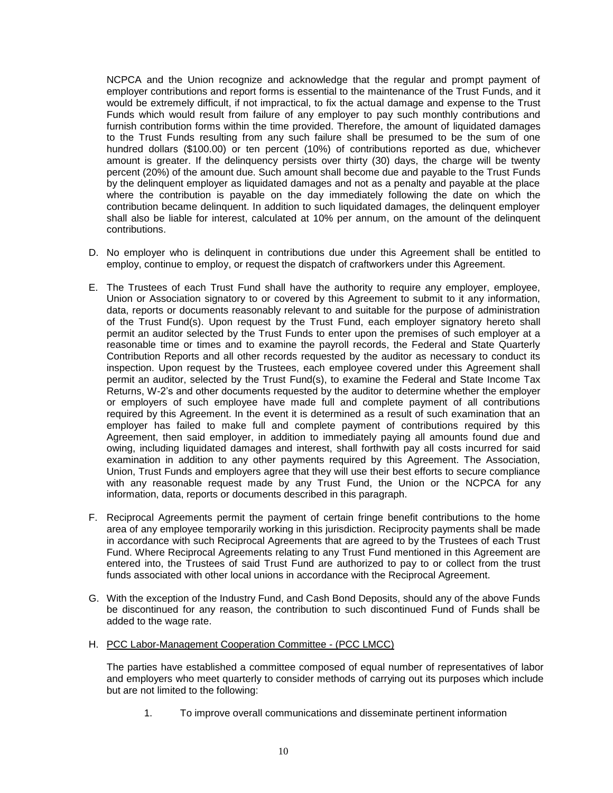NCPCA and the Union recognize and acknowledge that the regular and prompt payment of employer contributions and report forms is essential to the maintenance of the Trust Funds, and it would be extremely difficult, if not impractical, to fix the actual damage and expense to the Trust Funds which would result from failure of any employer to pay such monthly contributions and furnish contribution forms within the time provided. Therefore, the amount of liquidated damages to the Trust Funds resulting from any such failure shall be presumed to be the sum of one hundred dollars (\$100.00) or ten percent (10%) of contributions reported as due, whichever amount is greater. If the delinquency persists over thirty (30) days, the charge will be twenty percent (20%) of the amount due. Such amount shall become due and payable to the Trust Funds by the delinquent employer as liquidated damages and not as a penalty and payable at the place where the contribution is payable on the day immediately following the date on which the contribution became delinquent. In addition to such liquidated damages, the delinquent employer shall also be liable for interest, calculated at 10% per annum, on the amount of the delinquent contributions.

- D. No employer who is delinquent in contributions due under this Agreement shall be entitled to employ, continue to employ, or request the dispatch of craftworkers under this Agreement.
- E. The Trustees of each Trust Fund shall have the authority to require any employer, employee, Union or Association signatory to or covered by this Agreement to submit to it any information, data, reports or documents reasonably relevant to and suitable for the purpose of administration of the Trust Fund(s). Upon request by the Trust Fund, each employer signatory hereto shall permit an auditor selected by the Trust Funds to enter upon the premises of such employer at a reasonable time or times and to examine the payroll records, the Federal and State Quarterly Contribution Reports and all other records requested by the auditor as necessary to conduct its inspection. Upon request by the Trustees, each employee covered under this Agreement shall permit an auditor, selected by the Trust Fund(s), to examine the Federal and State Income Tax Returns, W-2's and other documents requested by the auditor to determine whether the employer or employers of such employee have made full and complete payment of all contributions required by this Agreement. In the event it is determined as a result of such examination that an employer has failed to make full and complete payment of contributions required by this Agreement, then said employer, in addition to immediately paying all amounts found due and owing, including liquidated damages and interest, shall forthwith pay all costs incurred for said examination in addition to any other payments required by this Agreement. The Association, Union, Trust Funds and employers agree that they will use their best efforts to secure compliance with any reasonable request made by any Trust Fund, the Union or the NCPCA for any information, data, reports or documents described in this paragraph.
- F. Reciprocal Agreements permit the payment of certain fringe benefit contributions to the home area of any employee temporarily working in this jurisdiction. Reciprocity payments shall be made in accordance with such Reciprocal Agreements that are agreed to by the Trustees of each Trust Fund. Where Reciprocal Agreements relating to any Trust Fund mentioned in this Agreement are entered into, the Trustees of said Trust Fund are authorized to pay to or collect from the trust funds associated with other local unions in accordance with the Reciprocal Agreement.
- G. With the exception of the Industry Fund, and Cash Bond Deposits, should any of the above Funds be discontinued for any reason, the contribution to such discontinued Fund of Funds shall be added to the wage rate.
- H. PCC Labor-Management Cooperation Committee (PCC LMCC)

The parties have established a committee composed of equal number of representatives of labor and employers who meet quarterly to consider methods of carrying out its purposes which include but are not limited to the following:

1. To improve overall communications and disseminate pertinent information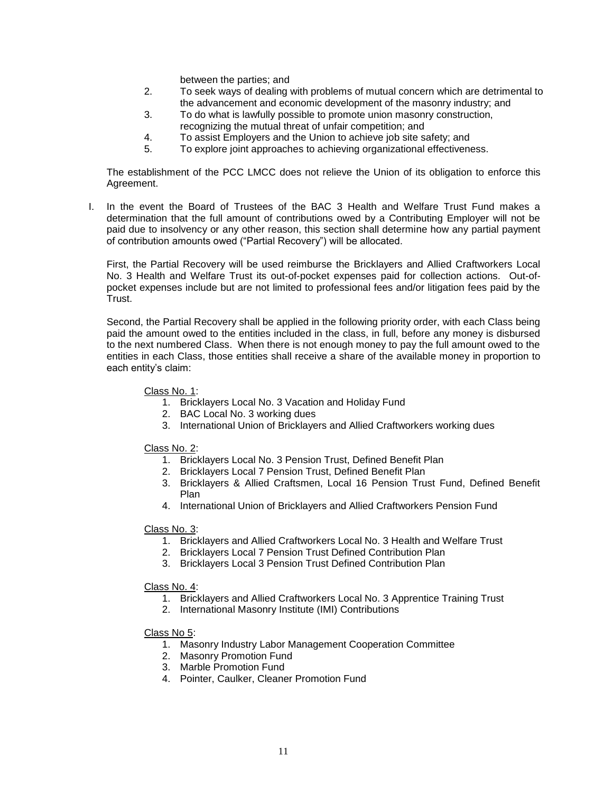between the parties; and

- 2. To seek ways of dealing with problems of mutual concern which are detrimental to the advancement and economic development of the masonry industry; and
- 3. To do what is lawfully possible to promote union masonry construction, recognizing the mutual threat of unfair competition; and
- 4. To assist Employers and the Union to achieve job site safety; and
- 5. To explore joint approaches to achieving organizational effectiveness.

The establishment of the PCC LMCC does not relieve the Union of its obligation to enforce this Agreement.

I. In the event the Board of Trustees of the BAC 3 Health and Welfare Trust Fund makes a determination that the full amount of contributions owed by a Contributing Employer will not be paid due to insolvency or any other reason, this section shall determine how any partial payment of contribution amounts owed ("Partial Recovery") will be allocated.

First, the Partial Recovery will be used reimburse the Bricklayers and Allied Craftworkers Local No. 3 Health and Welfare Trust its out-of-pocket expenses paid for collection actions. Out-ofpocket expenses include but are not limited to professional fees and/or litigation fees paid by the Trust.

Second, the Partial Recovery shall be applied in the following priority order, with each Class being paid the amount owed to the entities included in the class, in full, before any money is disbursed to the next numbered Class. When there is not enough money to pay the full amount owed to the entities in each Class, those entities shall receive a share of the available money in proportion to each entity's claim:

### Class No. 1:

- 1. Bricklayers Local No. 3 Vacation and Holiday Fund
- 2. BAC Local No. 3 working dues
- 3. International Union of Bricklayers and Allied Craftworkers working dues

#### Class No. 2:

- 1. Bricklayers Local No. 3 Pension Trust, Defined Benefit Plan
- 2. Bricklayers Local 7 Pension Trust, Defined Benefit Plan
- 3. Bricklayers & Allied Craftsmen, Local 16 Pension Trust Fund, Defined Benefit Plan
- 4. International Union of Bricklayers and Allied Craftworkers Pension Fund

## Class No. 3:

- 1. Bricklayers and Allied Craftworkers Local No. 3 Health and Welfare Trust
- 2. Bricklayers Local 7 Pension Trust Defined Contribution Plan
- 3. Bricklayers Local 3 Pension Trust Defined Contribution Plan

#### Class No. 4:

- 1. Bricklayers and Allied Craftworkers Local No. 3 Apprentice Training Trust
- 2. International Masonry Institute (IMI) Contributions

#### Class No 5:

- 1. Masonry Industry Labor Management Cooperation Committee
- 2. Masonry Promotion Fund
- 3. Marble Promotion Fund
- 4. Pointer, Caulker, Cleaner Promotion Fund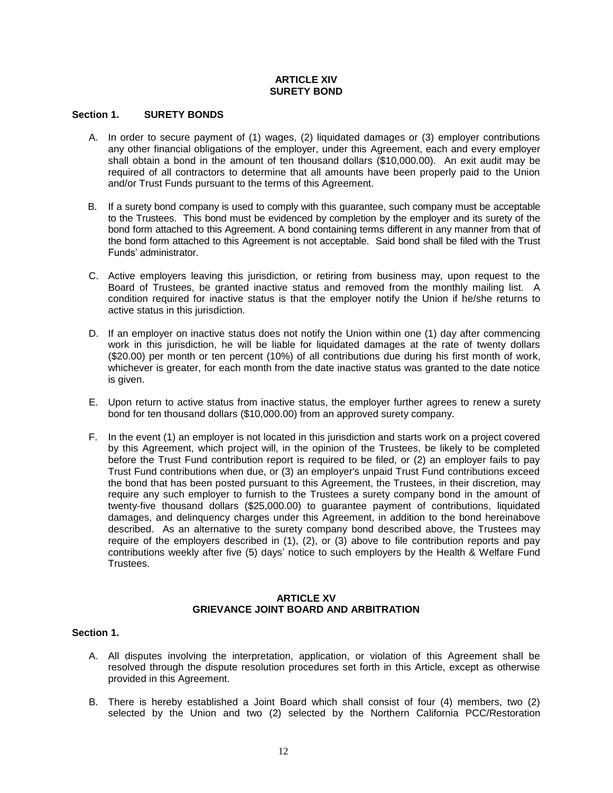## **ARTICLE XIV SURETY BOND**

#### **Section 1. SURETY BONDS**

- A. In order to secure payment of (1) wages, (2) liquidated damages or (3) employer contributions any other financial obligations of the employer, under this Agreement, each and every employer shall obtain a bond in the amount of ten thousand dollars (\$10,000.00). An exit audit may be required of all contractors to determine that all amounts have been properly paid to the Union and/or Trust Funds pursuant to the terms of this Agreement.
- B. If a surety bond company is used to comply with this guarantee, such company must be acceptable to the Trustees. This bond must be evidenced by completion by the employer and its surety of the bond form attached to this Agreement. A bond containing terms different in any manner from that of the bond form attached to this Agreement is not acceptable. Said bond shall be filed with the Trust Funds' administrator.
- C. Active employers leaving this jurisdiction, or retiring from business may, upon request to the Board of Trustees, be granted inactive status and removed from the monthly mailing list. A condition required for inactive status is that the employer notify the Union if he/she returns to active status in this jurisdiction.
- D. If an employer on inactive status does not notify the Union within one (1) day after commencing work in this jurisdiction, he will be liable for liquidated damages at the rate of twenty dollars (\$20.00) per month or ten percent (10%) of all contributions due during his first month of work, whichever is greater, for each month from the date inactive status was granted to the date notice is given.
- E. Upon return to active status from inactive status, the employer further agrees to renew a surety bond for ten thousand dollars (\$10,000.00) from an approved surety company.
- F. In the event (1) an employer is not located in this jurisdiction and starts work on a project covered by this Agreement, which project will, in the opinion of the Trustees, be likely to be completed before the Trust Fund contribution report is required to be filed, or (2) an employer fails to pay Trust Fund contributions when due, or (3) an employer's unpaid Trust Fund contributions exceed the bond that has been posted pursuant to this Agreement, the Trustees, in their discretion, may require any such employer to furnish to the Trustees a surety company bond in the amount of twenty-five thousand dollars (\$25,000.00) to guarantee payment of contributions, liquidated damages, and delinquency charges under this Agreement, in addition to the bond hereinabove described. As an alternative to the surety company bond described above, the Trustees may require of the employers described in (1), (2), or (3) above to file contribution reports and pay contributions weekly after five (5) days' notice to such employers by the Health & Welfare Fund Trustees.

## **ARTICLE XV GRIEVANCE JOINT BOARD AND ARBITRATION**

### **Section 1.**

- A. All disputes involving the interpretation, application, or violation of this Agreement shall be resolved through the dispute resolution procedures set forth in this Article, except as otherwise provided in this Agreement.
- B. There is hereby established a Joint Board which shall consist of four (4) members, two (2) selected by the Union and two (2) selected by the Northern California PCC/Restoration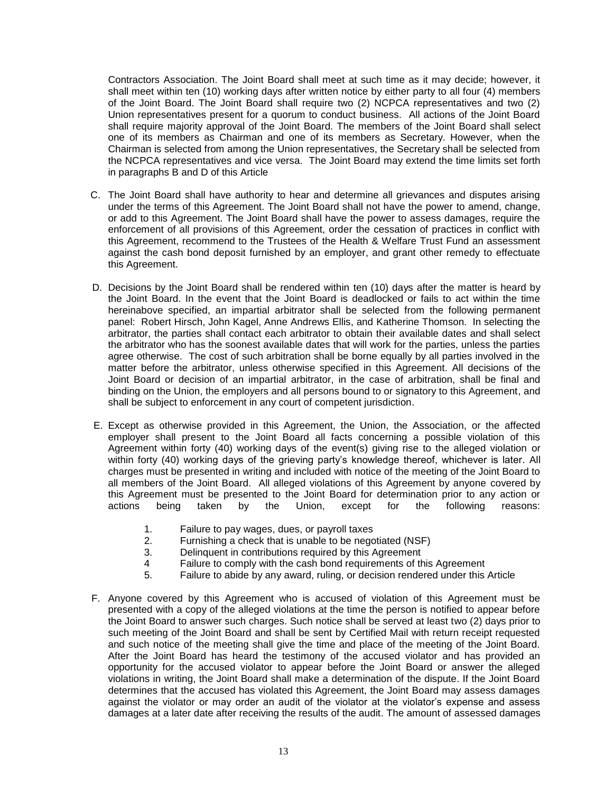Contractors Association. The Joint Board shall meet at such time as it may decide; however, it shall meet within ten (10) working days after written notice by either party to all four (4) members of the Joint Board. The Joint Board shall require two (2) NCPCA representatives and two (2) Union representatives present for a quorum to conduct business. All actions of the Joint Board shall require majority approval of the Joint Board. The members of the Joint Board shall select one of its members as Chairman and one of its members as Secretary. However, when the Chairman is selected from among the Union representatives, the Secretary shall be selected from the NCPCA representatives and vice versa. The Joint Board may extend the time limits set forth in paragraphs B and D of this Article

- C. The Joint Board shall have authority to hear and determine all grievances and disputes arising under the terms of this Agreement. The Joint Board shall not have the power to amend, change, or add to this Agreement. The Joint Board shall have the power to assess damages, require the enforcement of all provisions of this Agreement, order the cessation of practices in conflict with this Agreement, recommend to the Trustees of the Health & Welfare Trust Fund an assessment against the cash bond deposit furnished by an employer, and grant other remedy to effectuate this Agreement.
- D. Decisions by the Joint Board shall be rendered within ten (10) days after the matter is heard by the Joint Board. In the event that the Joint Board is deadlocked or fails to act within the time hereinabove specified, an impartial arbitrator shall be selected from the following permanent panel: Robert Hirsch, John Kagel, Anne Andrews Ellis, and Katherine Thomson. In selecting the arbitrator, the parties shall contact each arbitrator to obtain their available dates and shall select the arbitrator who has the soonest available dates that will work for the parties, unless the parties agree otherwise. The cost of such arbitration shall be borne equally by all parties involved in the matter before the arbitrator, unless otherwise specified in this Agreement. All decisions of the Joint Board or decision of an impartial arbitrator, in the case of arbitration, shall be final and binding on the Union, the employers and all persons bound to or signatory to this Agreement, and shall be subject to enforcement in any court of competent jurisdiction.
- E. Except as otherwise provided in this Agreement, the Union, the Association, or the affected employer shall present to the Joint Board all facts concerning a possible violation of this Agreement within forty (40) working days of the event(s) giving rise to the alleged violation or within forty (40) working days of the grieving party's knowledge thereof, whichever is later. All charges must be presented in writing and included with notice of the meeting of the Joint Board to all members of the Joint Board. All alleged violations of this Agreement by anyone covered by this Agreement must be presented to the Joint Board for determination prior to any action or actions being taken by the Union, except for the following reasons:
	- 1. Failure to pay wages, dues, or payroll taxes
	- 2. Furnishing a check that is unable to be negotiated (NSF)
	- 3. Delinquent in contributions required by this Agreement
	- 4 Failure to comply with the cash bond requirements of this Agreement
	- 5. Failure to abide by any award, ruling, or decision rendered under this Article
- F. Anyone covered by this Agreement who is accused of violation of this Agreement must be presented with a copy of the alleged violations at the time the person is notified to appear before the Joint Board to answer such charges. Such notice shall be served at least two (2) days prior to such meeting of the Joint Board and shall be sent by Certified Mail with return receipt requested and such notice of the meeting shall give the time and place of the meeting of the Joint Board. After the Joint Board has heard the testimony of the accused violator and has provided an opportunity for the accused violator to appear before the Joint Board or answer the alleged violations in writing, the Joint Board shall make a determination of the dispute. If the Joint Board determines that the accused has violated this Agreement, the Joint Board may assess damages against the violator or may order an audit of the violator at the violator's expense and assess damages at a later date after receiving the results of the audit. The amount of assessed damages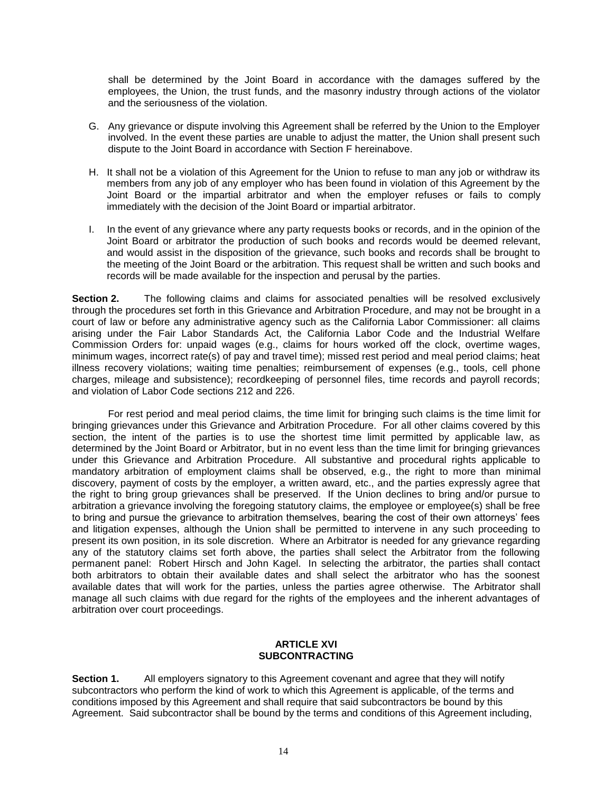shall be determined by the Joint Board in accordance with the damages suffered by the employees, the Union, the trust funds, and the masonry industry through actions of the violator and the seriousness of the violation.

- G. Any grievance or dispute involving this Agreement shall be referred by the Union to the Employer involved. In the event these parties are unable to adjust the matter, the Union shall present such dispute to the Joint Board in accordance with Section F hereinabove.
- H. It shall not be a violation of this Agreement for the Union to refuse to man any job or withdraw its members from any job of any employer who has been found in violation of this Agreement by the Joint Board or the impartial arbitrator and when the employer refuses or fails to comply immediately with the decision of the Joint Board or impartial arbitrator.
- I. In the event of any grievance where any party requests books or records, and in the opinion of the Joint Board or arbitrator the production of such books and records would be deemed relevant, and would assist in the disposition of the grievance, such books and records shall be brought to the meeting of the Joint Board or the arbitration. This request shall be written and such books and records will be made available for the inspection and perusal by the parties.

**Section 2.** The following claims and claims for associated penalties will be resolved exclusively through the procedures set forth in this Grievance and Arbitration Procedure, and may not be brought in a court of law or before any administrative agency such as the California Labor Commissioner: all claims arising under the Fair Labor Standards Act, the California Labor Code and the Industrial Welfare Commission Orders for: unpaid wages (e.g., claims for hours worked off the clock, overtime wages, minimum wages, incorrect rate(s) of pay and travel time); missed rest period and meal period claims; heat illness recovery violations; waiting time penalties; reimbursement of expenses (e.g., tools, cell phone charges, mileage and subsistence); recordkeeping of personnel files, time records and payroll records; and violation of Labor Code sections 212 and 226.

For rest period and meal period claims, the time limit for bringing such claims is the time limit for bringing grievances under this Grievance and Arbitration Procedure. For all other claims covered by this section, the intent of the parties is to use the shortest time limit permitted by applicable law, as determined by the Joint Board or Arbitrator, but in no event less than the time limit for bringing grievances under this Grievance and Arbitration Procedure. All substantive and procedural rights applicable to mandatory arbitration of employment claims shall be observed, e.g., the right to more than minimal discovery, payment of costs by the employer, a written award, etc., and the parties expressly agree that the right to bring group grievances shall be preserved. If the Union declines to bring and/or pursue to arbitration a grievance involving the foregoing statutory claims, the employee or employee(s) shall be free to bring and pursue the grievance to arbitration themselves, bearing the cost of their own attorneys' fees and litigation expenses, although the Union shall be permitted to intervene in any such proceeding to present its own position, in its sole discretion. Where an Arbitrator is needed for any grievance regarding any of the statutory claims set forth above, the parties shall select the Arbitrator from the following permanent panel: Robert Hirsch and John Kagel. In selecting the arbitrator, the parties shall contact both arbitrators to obtain their available dates and shall select the arbitrator who has the soonest available dates that will work for the parties, unless the parties agree otherwise. The Arbitrator shall manage all such claims with due regard for the rights of the employees and the inherent advantages of arbitration over court proceedings.

#### **ARTICLE XVI SUBCONTRACTING**

**Section 1.** All employers signatory to this Agreement covenant and agree that they will notify subcontractors who perform the kind of work to which this Agreement is applicable, of the terms and conditions imposed by this Agreement and shall require that said subcontractors be bound by this Agreement. Said subcontractor shall be bound by the terms and conditions of this Agreement including,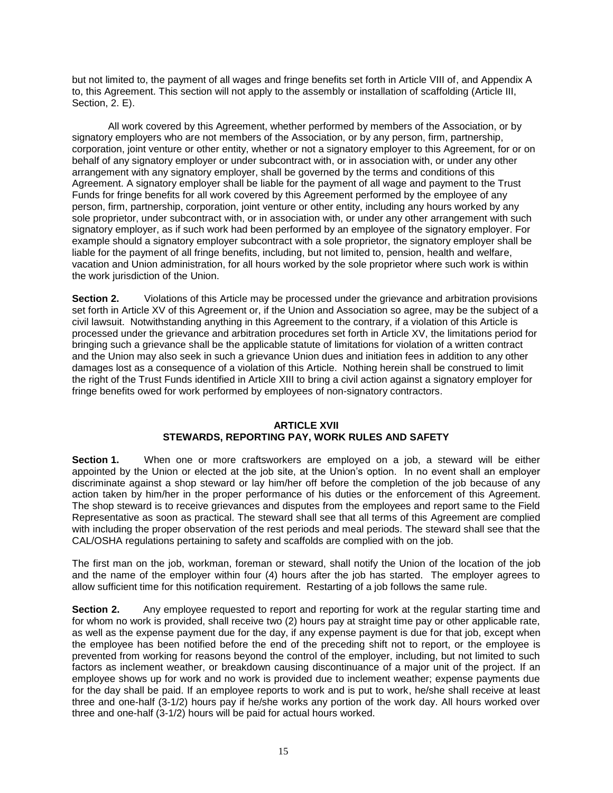but not limited to, the payment of all wages and fringe benefits set forth in Article VIII of, and Appendix A to, this Agreement. This section will not apply to the assembly or installation of scaffolding (Article III, Section, 2. E).

All work covered by this Agreement, whether performed by members of the Association, or by signatory employers who are not members of the Association, or by any person, firm, partnership, corporation, joint venture or other entity, whether or not a signatory employer to this Agreement, for or on behalf of any signatory employer or under subcontract with, or in association with, or under any other arrangement with any signatory employer, shall be governed by the terms and conditions of this Agreement. A signatory employer shall be liable for the payment of all wage and payment to the Trust Funds for fringe benefits for all work covered by this Agreement performed by the employee of any person, firm, partnership, corporation, joint venture or other entity, including any hours worked by any sole proprietor, under subcontract with, or in association with, or under any other arrangement with such signatory employer, as if such work had been performed by an employee of the signatory employer. For example should a signatory employer subcontract with a sole proprietor, the signatory employer shall be liable for the payment of all fringe benefits, including, but not limited to, pension, health and welfare, vacation and Union administration, for all hours worked by the sole proprietor where such work is within the work jurisdiction of the Union.

**Section 2.** Violations of this Article may be processed under the grievance and arbitration provisions set forth in Article XV of this Agreement or, if the Union and Association so agree, may be the subject of a civil lawsuit. Notwithstanding anything in this Agreement to the contrary, if a violation of this Article is processed under the grievance and arbitration procedures set forth in Article XV, the limitations period for bringing such a grievance shall be the applicable statute of limitations for violation of a written contract and the Union may also seek in such a grievance Union dues and initiation fees in addition to any other damages lost as a consequence of a violation of this Article. Nothing herein shall be construed to limit the right of the Trust Funds identified in Article XIII to bring a civil action against a signatory employer for fringe benefits owed for work performed by employees of non-signatory contractors.

#### **ARTICLE XVII**

## **STEWARDS, REPORTING PAY, WORK RULES AND SAFETY**

**Section 1.** When one or more craftsworkers are employed on a job, a steward will be either appointed by the Union or elected at the job site, at the Union's option. In no event shall an employer discriminate against a shop steward or lay him/her off before the completion of the job because of any action taken by him/her in the proper performance of his duties or the enforcement of this Agreement. The shop steward is to receive grievances and disputes from the employees and report same to the Field Representative as soon as practical. The steward shall see that all terms of this Agreement are complied with including the proper observation of the rest periods and meal periods. The steward shall see that the CAL/OSHA regulations pertaining to safety and scaffolds are complied with on the job.

The first man on the job, workman, foreman or steward, shall notify the Union of the location of the job and the name of the employer within four (4) hours after the job has started. The employer agrees to allow sufficient time for this notification requirement. Restarting of a job follows the same rule.

**Section 2.** Any employee requested to report and reporting for work at the regular starting time and for whom no work is provided, shall receive two (2) hours pay at straight time pay or other applicable rate, as well as the expense payment due for the day, if any expense payment is due for that job, except when the employee has been notified before the end of the preceding shift not to report, or the employee is prevented from working for reasons beyond the control of the employer, including, but not limited to such factors as inclement weather, or breakdown causing discontinuance of a major unit of the project. If an employee shows up for work and no work is provided due to inclement weather; expense payments due for the day shall be paid. If an employee reports to work and is put to work, he/she shall receive at least three and one-half (3-1/2) hours pay if he/she works any portion of the work day. All hours worked over three and one-half (3-1/2) hours will be paid for actual hours worked.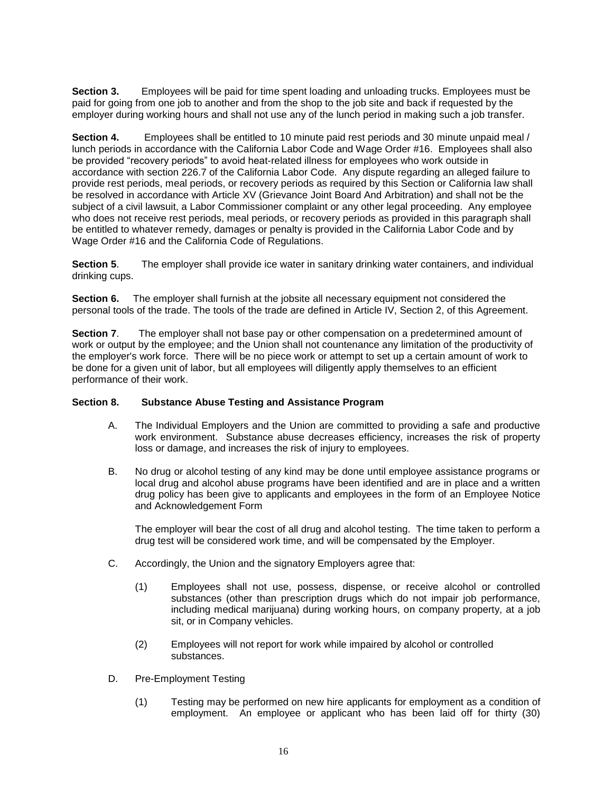**Section 3.** Employees will be paid for time spent loading and unloading trucks. Employees must be paid for going from one job to another and from the shop to the job site and back if requested by the employer during working hours and shall not use any of the lunch period in making such a job transfer.

**Section 4.** Employees shall be entitled to 10 minute paid rest periods and 30 minute unpaid meal / lunch periods in accordance with the California Labor Code and Wage Order #16. Employees shall also be provided "recovery periods" to avoid heat-related illness for employees who work outside in accordance with section 226.7 of the California Labor Code. Any dispute regarding an alleged failure to provide rest periods, meal periods, or recovery periods as required by this Section or California law shall be resolved in accordance with Article XV (Grievance Joint Board And Arbitration) and shall not be the subject of a civil lawsuit, a Labor Commissioner complaint or any other legal proceeding. Any employee who does not receive rest periods, meal periods, or recovery periods as provided in this paragraph shall be entitled to whatever remedy, damages or penalty is provided in the California Labor Code and by Wage Order #16 and the California Code of Regulations.

**Section 5**. The employer shall provide ice water in sanitary drinking water containers, and individual drinking cups.

**Section 6.** The employer shall furnish at the jobsite all necessary equipment not considered the personal tools of the trade. The tools of the trade are defined in Article IV, Section 2, of this Agreement.

**Section 7**. The employer shall not base pay or other compensation on a predetermined amount of work or output by the employee; and the Union shall not countenance any limitation of the productivity of the employer's work force. There will be no piece work or attempt to set up a certain amount of work to be done for a given unit of labor, but all employees will diligently apply themselves to an efficient performance of their work.

## **Section 8. Substance Abuse Testing and Assistance Program**

- A. The Individual Employers and the Union are committed to providing a safe and productive work environment. Substance abuse decreases efficiency, increases the risk of property loss or damage, and increases the risk of injury to employees.
- B. No drug or alcohol testing of any kind may be done until employee assistance programs or local drug and alcohol abuse programs have been identified and are in place and a written drug policy has been give to applicants and employees in the form of an Employee Notice and Acknowledgement Form

The employer will bear the cost of all drug and alcohol testing. The time taken to perform a drug test will be considered work time, and will be compensated by the Employer.

- C. Accordingly, the Union and the signatory Employers agree that:
	- (1) Employees shall not use, possess, dispense, or receive alcohol or controlled substances (other than prescription drugs which do not impair job performance, including medical marijuana) during working hours, on company property, at a job sit, or in Company vehicles.
	- (2) Employees will not report for work while impaired by alcohol or controlled substances.
- D. Pre-Employment Testing
	- (1) Testing may be performed on new hire applicants for employment as a condition of employment. An employee or applicant who has been laid off for thirty (30)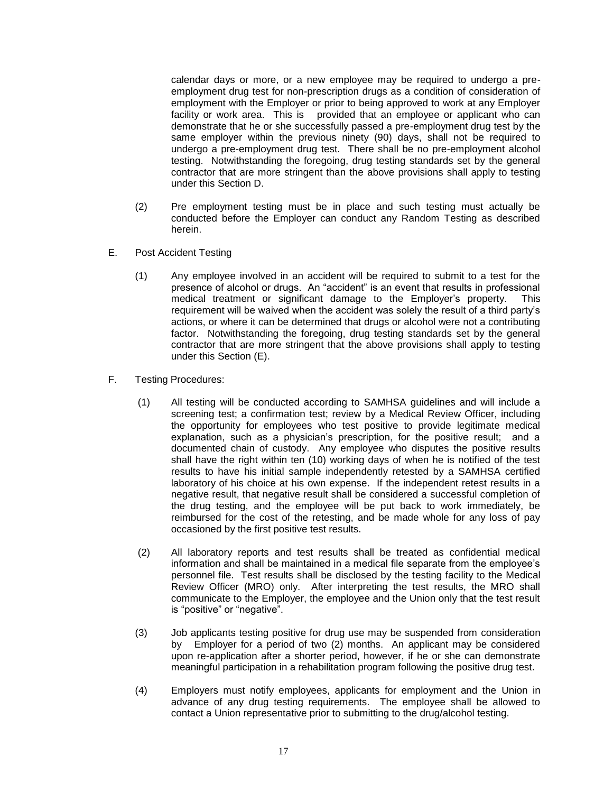calendar days or more, or a new employee may be required to undergo a preemployment drug test for non-prescription drugs as a condition of consideration of employment with the Employer or prior to being approved to work at any Employer facility or work area. This is provided that an employee or applicant who can demonstrate that he or she successfully passed a pre-employment drug test by the same employer within the previous ninety (90) days, shall not be required to undergo a pre-employment drug test. There shall be no pre-employment alcohol testing. Notwithstanding the foregoing, drug testing standards set by the general contractor that are more stringent than the above provisions shall apply to testing under this Section D.

- (2) Pre employment testing must be in place and such testing must actually be conducted before the Employer can conduct any Random Testing as described herein.
- E. Post Accident Testing
	- (1) Any employee involved in an accident will be required to submit to a test for the presence of alcohol or drugs. An "accident" is an event that results in professional medical treatment or significant damage to the Employer's property. This requirement will be waived when the accident was solely the result of a third party's actions, or where it can be determined that drugs or alcohol were not a contributing factor. Notwithstanding the foregoing, drug testing standards set by the general contractor that are more stringent that the above provisions shall apply to testing under this Section (E).
- F. Testing Procedures:
	- (1) All testing will be conducted according to SAMHSA guidelines and will include a screening test; a confirmation test; review by a Medical Review Officer, including the opportunity for employees who test positive to provide legitimate medical explanation, such as a physician's prescription, for the positive result; and a documented chain of custody. Any employee who disputes the positive results shall have the right within ten (10) working days of when he is notified of the test results to have his initial sample independently retested by a SAMHSA certified laboratory of his choice at his own expense. If the independent retest results in a negative result, that negative result shall be considered a successful completion of the drug testing, and the employee will be put back to work immediately, be reimbursed for the cost of the retesting, and be made whole for any loss of pay occasioned by the first positive test results.
	- (2) All laboratory reports and test results shall be treated as confidential medical information and shall be maintained in a medical file separate from the employee's personnel file. Test results shall be disclosed by the testing facility to the Medical Review Officer (MRO) only. After interpreting the test results, the MRO shall communicate to the Employer, the employee and the Union only that the test result is "positive" or "negative".
	- (3) Job applicants testing positive for drug use may be suspended from consideration by Employer for a period of two (2) months. An applicant may be considered upon re-application after a shorter period, however, if he or she can demonstrate meaningful participation in a rehabilitation program following the positive drug test.
	- (4) Employers must notify employees, applicants for employment and the Union in advance of any drug testing requirements. The employee shall be allowed to contact a Union representative prior to submitting to the drug/alcohol testing.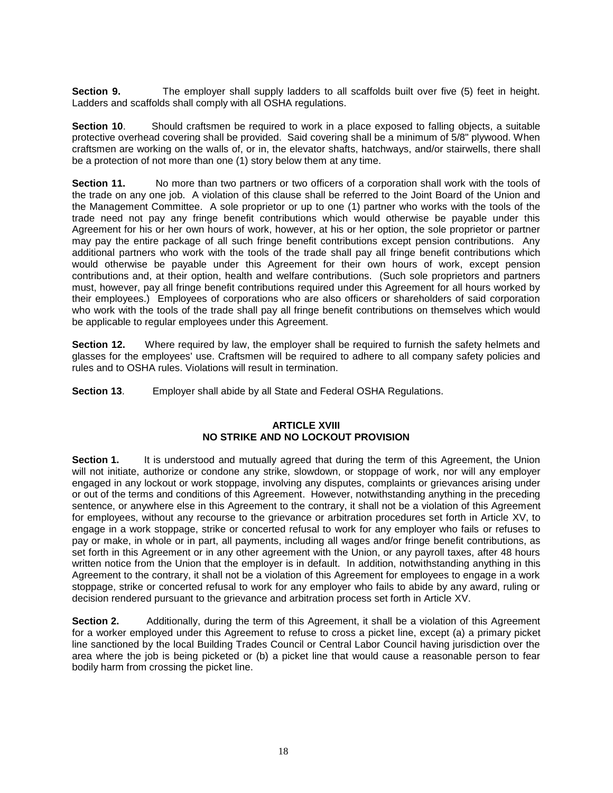**Section 9.** The employer shall supply ladders to all scaffolds built over five (5) feet in height. Ladders and scaffolds shall comply with all OSHA regulations.

**Section 10.** Should craftsmen be required to work in a place exposed to falling objects, a suitable protective overhead covering shall be provided. Said covering shall be a minimum of 5/8" plywood. When craftsmen are working on the walls of, or in, the elevator shafts, hatchways, and/or stairwells, there shall be a protection of not more than one (1) story below them at any time.

**Section 11.** No more than two partners or two officers of a corporation shall work with the tools of the trade on any one job. A violation of this clause shall be referred to the Joint Board of the Union and the Management Committee. A sole proprietor or up to one (1) partner who works with the tools of the trade need not pay any fringe benefit contributions which would otherwise be payable under this Agreement for his or her own hours of work, however, at his or her option, the sole proprietor or partner may pay the entire package of all such fringe benefit contributions except pension contributions. Any additional partners who work with the tools of the trade shall pay all fringe benefit contributions which would otherwise be payable under this Agreement for their own hours of work, except pension contributions and, at their option, health and welfare contributions. (Such sole proprietors and partners must, however, pay all fringe benefit contributions required under this Agreement for all hours worked by their employees.) Employees of corporations who are also officers or shareholders of said corporation who work with the tools of the trade shall pay all fringe benefit contributions on themselves which would be applicable to regular employees under this Agreement.

**Section 12.** Where required by law, the employer shall be required to furnish the safety helmets and glasses for the employees' use. Craftsmen will be required to adhere to all company safety policies and rules and to OSHA rules. Violations will result in termination.

**Section 13**. Employer shall abide by all State and Federal OSHA Regulations.

## **ARTICLE XVIII NO STRIKE AND NO LOCKOUT PROVISION**

**Section 1.** It is understood and mutually agreed that during the term of this Agreement, the Union will not initiate, authorize or condone any strike, slowdown, or stoppage of work, nor will any employer engaged in any lockout or work stoppage, involving any disputes, complaints or grievances arising under or out of the terms and conditions of this Agreement. However, notwithstanding anything in the preceding sentence, or anywhere else in this Agreement to the contrary, it shall not be a violation of this Agreement for employees, without any recourse to the grievance or arbitration procedures set forth in Article XV, to engage in a work stoppage, strike or concerted refusal to work for any employer who fails or refuses to pay or make, in whole or in part, all payments, including all wages and/or fringe benefit contributions, as set forth in this Agreement or in any other agreement with the Union, or any payroll taxes, after 48 hours written notice from the Union that the employer is in default. In addition, notwithstanding anything in this Agreement to the contrary, it shall not be a violation of this Agreement for employees to engage in a work stoppage, strike or concerted refusal to work for any employer who fails to abide by any award, ruling or decision rendered pursuant to the grievance and arbitration process set forth in Article XV.

**Section 2.** Additionally, during the term of this Agreement, it shall be a violation of this Agreement for a worker employed under this Agreement to refuse to cross a picket line, except (a) a primary picket line sanctioned by the local Building Trades Council or Central Labor Council having jurisdiction over the area where the job is being picketed or (b) a picket line that would cause a reasonable person to fear bodily harm from crossing the picket line.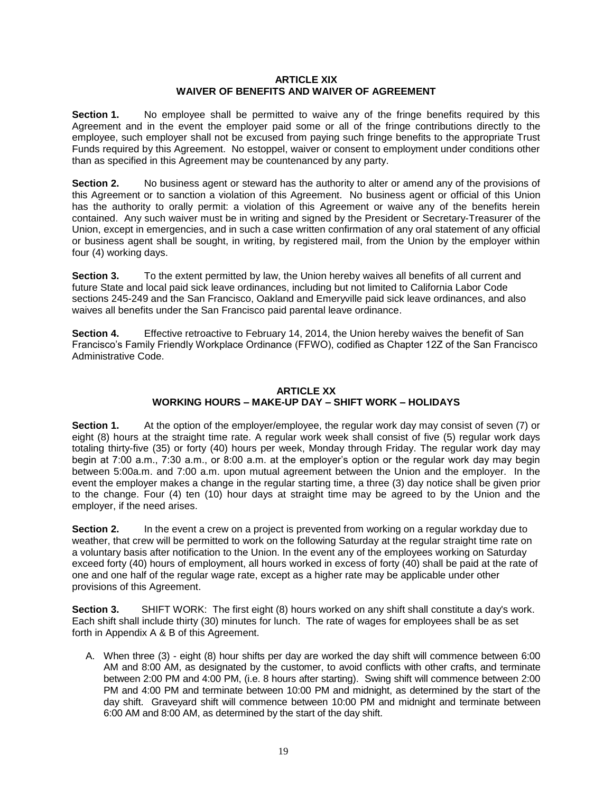## **ARTICLE XIX WAIVER OF BENEFITS AND WAIVER OF AGREEMENT**

**Section 1.** No employee shall be permitted to waive any of the fringe benefits required by this Agreement and in the event the employer paid some or all of the fringe contributions directly to the employee, such employer shall not be excused from paying such fringe benefits to the appropriate Trust Funds required by this Agreement. No estoppel, waiver or consent to employment under conditions other than as specified in this Agreement may be countenanced by any party.

**Section 2.** No business agent or steward has the authority to alter or amend any of the provisions of this Agreement or to sanction a violation of this Agreement. No business agent or official of this Union has the authority to orally permit: a violation of this Agreement or waive any of the benefits herein contained. Any such waiver must be in writing and signed by the President or Secretary-Treasurer of the Union, except in emergencies, and in such a case written confirmation of any oral statement of any official or business agent shall be sought, in writing, by registered mail, from the Union by the employer within four (4) working days.

**Section 3.** To the extent permitted by law, the Union hereby waives all benefits of all current and future State and local paid sick leave ordinances, including but not limited to California Labor Code sections 245-249 and the San Francisco, Oakland and Emeryville paid sick leave ordinances, and also waives all benefits under the San Francisco paid parental leave ordinance.

**Section 4.** Effective retroactive to February 14, 2014, the Union hereby waives the benefit of San Francisco's Family Friendly Workplace Ordinance (FFWO), codified as Chapter 12Z of the San Francisco Administrative Code.

## **ARTICLE XX WORKING HOURS – MAKE-UP DAY – SHIFT WORK – HOLIDAYS**

**Section 1.** At the option of the employer/employee, the regular work day may consist of seven (7) or eight (8) hours at the straight time rate. A regular work week shall consist of five (5) regular work days totaling thirty-five (35) or forty (40) hours per week, Monday through Friday. The regular work day may begin at 7:00 a.m., 7:30 a.m., or 8:00 a.m. at the employer's option or the regular work day may begin between 5:00a.m. and 7:00 a.m. upon mutual agreement between the Union and the employer. In the event the employer makes a change in the regular starting time, a three (3) day notice shall be given prior to the change. Four (4) ten (10) hour days at straight time may be agreed to by the Union and the employer, if the need arises.

**Section 2.** In the event a crew on a project is prevented from working on a regular workday due to weather, that crew will be permitted to work on the following Saturday at the regular straight time rate on a voluntary basis after notification to the Union. In the event any of the employees working on Saturday exceed forty (40) hours of employment, all hours worked in excess of forty (40) shall be paid at the rate of one and one half of the regular wage rate, except as a higher rate may be applicable under other provisions of this Agreement.

**Section 3.** SHIFT WORK: The first eight (8) hours worked on any shift shall constitute a day's work. Each shift shall include thirty (30) minutes for lunch. The rate of wages for employees shall be as set forth in Appendix A & B of this Agreement.

A. When three (3) - eight (8) hour shifts per day are worked the day shift will commence between 6:00 AM and 8:00 AM, as designated by the customer, to avoid conflicts with other crafts, and terminate between 2:00 PM and 4:00 PM, (i.e. 8 hours after starting). Swing shift will commence between 2:00 PM and 4:00 PM and terminate between 10:00 PM and midnight, as determined by the start of the day shift. Graveyard shift will commence between 10:00 PM and midnight and terminate between 6:00 AM and 8:00 AM, as determined by the start of the day shift.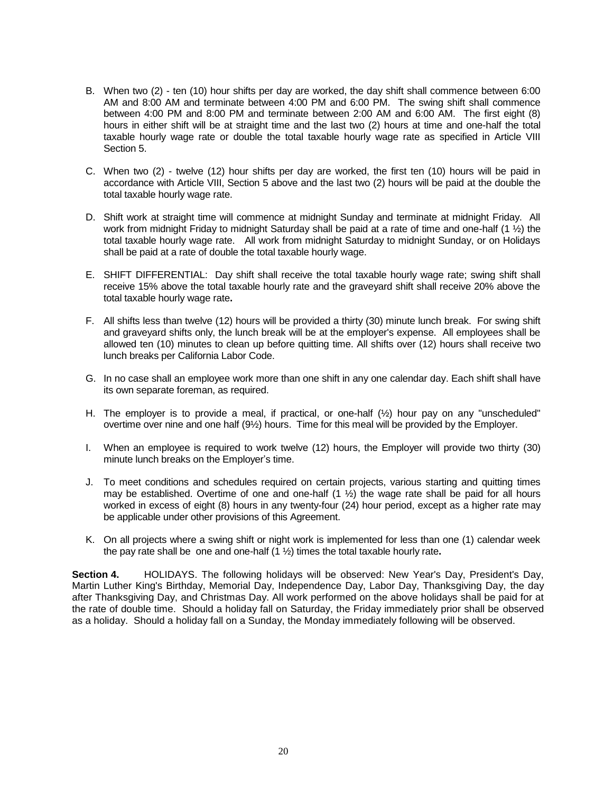- B. When two (2) ten (10) hour shifts per day are worked, the day shift shall commence between 6:00 AM and 8:00 AM and terminate between 4:00 PM and 6:00 PM. The swing shift shall commence between 4:00 PM and 8:00 PM and terminate between 2:00 AM and 6:00 AM. The first eight (8) hours in either shift will be at straight time and the last two (2) hours at time and one-half the total taxable hourly wage rate or double the total taxable hourly wage rate as specified in Article VIII Section 5.
- C. When two (2) twelve (12) hour shifts per day are worked, the first ten (10) hours will be paid in accordance with Article VIII, Section 5 above and the last two (2) hours will be paid at the double the total taxable hourly wage rate.
- D. Shift work at straight time will commence at midnight Sunday and terminate at midnight Friday. All work from midnight Friday to midnight Saturday shall be paid at a rate of time and one-half (1 ½) the total taxable hourly wage rate. All work from midnight Saturday to midnight Sunday, or on Holidays shall be paid at a rate of double the total taxable hourly wage.
- E. SHIFT DIFFERENTIAL: Day shift shall receive the total taxable hourly wage rate; swing shift shall receive 15% above the total taxable hourly rate and the graveyard shift shall receive 20% above the total taxable hourly wage rate**.**
- F. All shifts less than twelve (12) hours will be provided a thirty (30) minute lunch break. For swing shift and graveyard shifts only, the lunch break will be at the employer's expense. All employees shall be allowed ten (10) minutes to clean up before quitting time. All shifts over (12) hours shall receive two lunch breaks per California Labor Code.
- G. In no case shall an employee work more than one shift in any one calendar day. Each shift shall have its own separate foreman, as required.
- H. The employer is to provide a meal, if practical, or one-half (½) hour pay on any "unscheduled" overtime over nine and one half (9½) hours. Time for this meal will be provided by the Employer.
- I. When an employee is required to work twelve (12) hours, the Employer will provide two thirty (30) minute lunch breaks on the Employer's time.
- J. To meet conditions and schedules required on certain projects, various starting and quitting times may be established. Overtime of one and one-half  $(1 \frac{1}{2})$  the wage rate shall be paid for all hours worked in excess of eight (8) hours in any twenty-four (24) hour period, except as a higher rate may be applicable under other provisions of this Agreement.
- K. On all projects where a swing shift or night work is implemented for less than one (1) calendar week the pay rate shall be one and one-half (1 ½) times the total taxable hourly rate**.**

**Section 4.** HOLIDAYS. The following holidays will be observed: New Year's Day, President's Day, Martin Luther King's Birthday, Memorial Day, Independence Day, Labor Day, Thanksgiving Day, the day after Thanksgiving Day, and Christmas Day. All work performed on the above holidays shall be paid for at the rate of double time. Should a holiday fall on Saturday, the Friday immediately prior shall be observed as a holiday. Should a holiday fall on a Sunday, the Monday immediately following will be observed.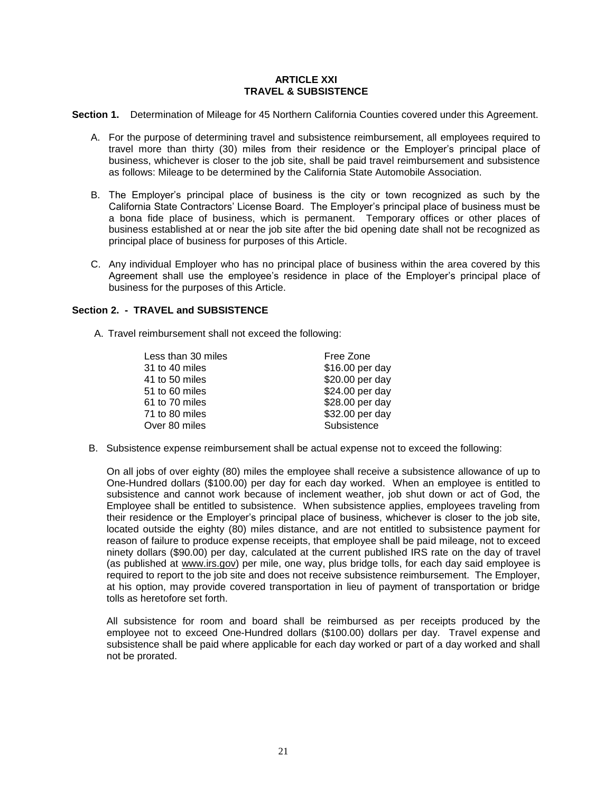## **ARTICLE XXI TRAVEL & SUBSISTENCE**

**Section 1.** Determination of Mileage for 45 Northern California Counties covered under this Agreement.

- A. For the purpose of determining travel and subsistence reimbursement, all employees required to travel more than thirty (30) miles from their residence or the Employer's principal place of business, whichever is closer to the job site, shall be paid travel reimbursement and subsistence as follows: Mileage to be determined by the California State Automobile Association.
- B. The Employer's principal place of business is the city or town recognized as such by the California State Contractors' License Board. The Employer's principal place of business must be a bona fide place of business, which is permanent. Temporary offices or other places of business established at or near the job site after the bid opening date shall not be recognized as principal place of business for purposes of this Article.
- C. Any individual Employer who has no principal place of business within the area covered by this Agreement shall use the employee's residence in place of the Employer's principal place of business for the purposes of this Article.

## **Section 2. - TRAVEL and SUBSISTENCE**

A. Travel reimbursement shall not exceed the following:

| Less than 30 miles | Free Zone       |
|--------------------|-----------------|
| 31 to 40 miles     | \$16.00 per day |
| 41 to 50 miles     | \$20.00 per day |
| 51 to 60 miles     | \$24.00 per day |
| 61 to 70 miles     | \$28.00 per day |
| 71 to 80 miles     | \$32.00 per day |
| Over 80 miles      | Subsistence     |

B. Subsistence expense reimbursement shall be actual expense not to exceed the following:

On all jobs of over eighty (80) miles the employee shall receive a subsistence allowance of up to One-Hundred dollars (\$100.00) per day for each day worked. When an employee is entitled to subsistence and cannot work because of inclement weather, job shut down or act of God, the Employee shall be entitled to subsistence. When subsistence applies, employees traveling from their residence or the Employer's principal place of business, whichever is closer to the job site, located outside the eighty (80) miles distance, and are not entitled to subsistence payment for reason of failure to produce expense receipts, that employee shall be paid mileage, not to exceed ninety dollars (\$90.00) per day, calculated at the current published IRS rate on the day of travel (as published at [www.irs.gov\)](http://www.irs.gov/) per mile, one way, plus bridge tolls, for each day said employee is required to report to the job site and does not receive subsistence reimbursement. The Employer, at his option, may provide covered transportation in lieu of payment of transportation or bridge tolls as heretofore set forth.

All subsistence for room and board shall be reimbursed as per receipts produced by the employee not to exceed One-Hundred dollars (\$100.00) dollars per day. Travel expense and subsistence shall be paid where applicable for each day worked or part of a day worked and shall not be prorated.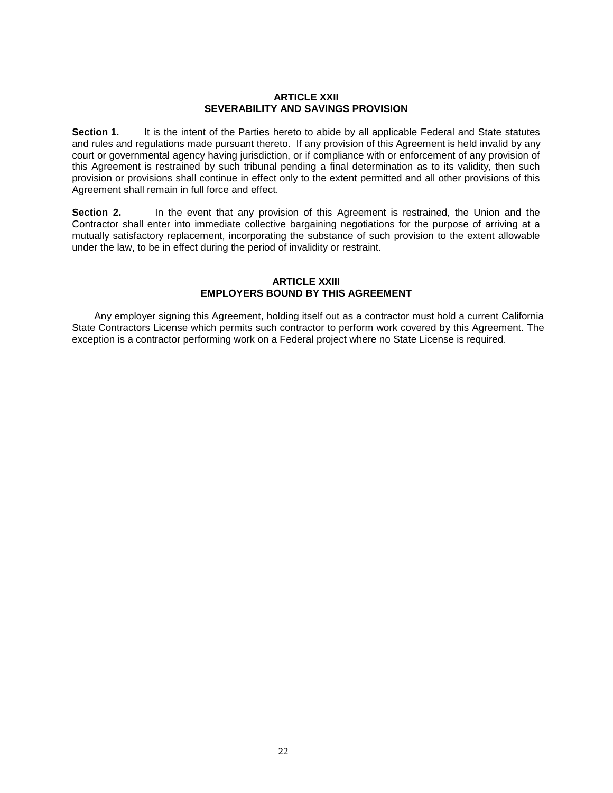#### **ARTICLE XXII SEVERABILITY AND SAVINGS PROVISION**

**Section 1.** It is the intent of the Parties hereto to abide by all applicable Federal and State statutes and rules and regulations made pursuant thereto. If any provision of this Agreement is held invalid by any court or governmental agency having jurisdiction, or if compliance with or enforcement of any provision of this Agreement is restrained by such tribunal pending a final determination as to its validity, then such provision or provisions shall continue in effect only to the extent permitted and all other provisions of this Agreement shall remain in full force and effect.

**Section 2.** In the event that any provision of this Agreement is restrained, the Union and the Contractor shall enter into immediate collective bargaining negotiations for the purpose of arriving at a mutually satisfactory replacement, incorporating the substance of such provision to the extent allowable under the law, to be in effect during the period of invalidity or restraint.

## **ARTICLE XXIII EMPLOYERS BOUND BY THIS AGREEMENT**

 Any employer signing this Agreement, holding itself out as a contractor must hold a current California State Contractors License which permits such contractor to perform work covered by this Agreement. The exception is a contractor performing work on a Federal project where no State License is required.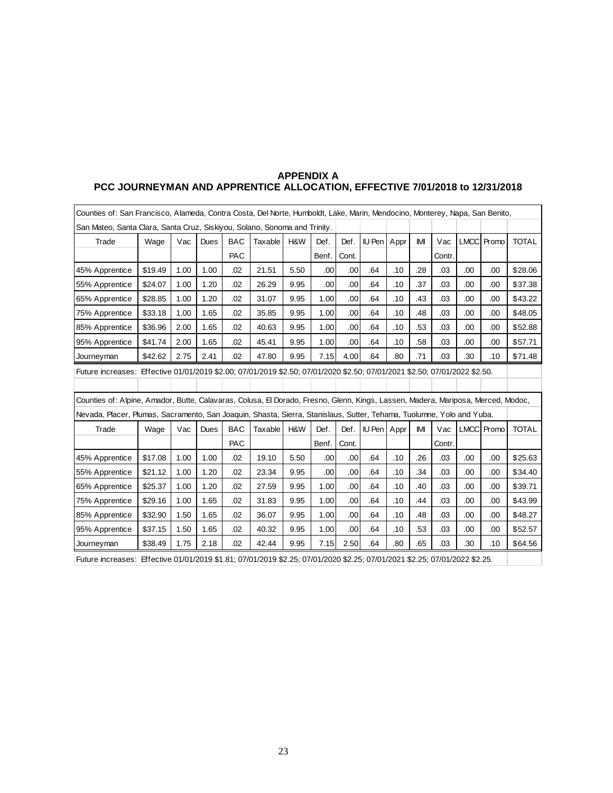| Counties of: San Francisco, Alameda, Contra Costa, Del Norte, Humboldt, Lake, Marin, Mendocino, Monterey, Napa, San Benito,      |         |      |      |            |         |      |       |       |             |      |     |        |     |            |              |
|----------------------------------------------------------------------------------------------------------------------------------|---------|------|------|------------|---------|------|-------|-------|-------------|------|-----|--------|-----|------------|--------------|
| San Mateo, Santa Clara, Santa Cruz, Siskiyou, Solano, Sonoma and Trinity.                                                        |         |      |      |            |         |      |       |       |             |      |     |        |     |            |              |
| Trade                                                                                                                            | Wage    | Vac  | Dues | <b>BAC</b> | Taxable | H&W  | Def.  | Def.  | IU Pen      | Appr | IMI | Vac    |     | LMCC Promo | <b>TOTAL</b> |
|                                                                                                                                  |         |      |      | PAC        |         |      | Benf. | Cont. |             |      |     | Contr. |     |            |              |
| 45% Apprentice                                                                                                                   | \$19.49 | 1.00 | 1.00 | .02        | 21.51   | 5.50 | .00   | .00   | .64         | .10  | .28 | .03    | .00 | .00        | \$28.06      |
| 55% Apprentice                                                                                                                   | \$24.07 | 1.00 | 1.20 | .02        | 26.29   | 9.95 | .00   | .00   | .64         | .10  | .37 | .03    | .00 | .00        | \$37.38      |
| 65% Apprentice                                                                                                                   | \$28.85 | 1.00 | 1.20 | .02        | 31.07   | 9.95 | 1.00  | .00   | .64         | .10  | .43 | .03    | .00 | .00        | \$43.22      |
| 75% Apprentice                                                                                                                   | \$33.18 | 1.00 | 1.65 | .02        | 35.85   | 9.95 | 1.00  | .00   | .64         | .10  | .48 | .03    | .00 | .00        | \$48.05      |
| 85% Apprentice                                                                                                                   | \$36.96 | 2.00 | 1.65 | .02        | 40.63   | 9.95 | 1.00  | .00   | .64         | .10  | .53 | .03    | .00 | .00        | \$52.88      |
| 95% Apprentice                                                                                                                   | \$41.74 | 2.00 | 1.65 | .02        | 45.41   | 9.95 | 1.00  | .00   | .64         | .10  | .58 | .03    | .00 | .00        | \$57.71      |
| Journeyman                                                                                                                       | \$42.62 | 2.75 | 2.41 | .02        | 47.80   | 9.95 | 7.15  | 4.00  | .64         | .80  | .71 | .03    | .30 | .10        | \$71.48      |
| Future increases: Effective 01/01/2019 \$2.00; 07/01/2019 \$2.50; 07/01/2020 \$2.50; 07/01/2021 \$2.50; 07/01/2022 \$2.50.       |         |      |      |            |         |      |       |       |             |      |     |        |     |            |              |
|                                                                                                                                  |         |      |      |            |         |      |       |       |             |      |     |        |     |            |              |
| Counties of: Alpine, Amador, Butte, Calavaras, Colusa, El Dorado, Fresno, Glenn, Kings, Lassen, Madera, Mariposa, Merced, Modoc, |         |      |      |            |         |      |       |       |             |      |     |        |     |            |              |
| Nevada, Placer, Plumas, Sacramento, San Joaquin, Shasta, Sierra, Stanislaus, Sutter, Tehama, Tuolumne, Yolo and Yuba.            |         |      |      |            |         |      |       |       |             |      |     |        |     |            |              |
| Trade                                                                                                                            | Wage    | Vac  | Dues | <b>BAC</b> | Taxable | H&W  | Def.  | Def.  | IU Pen Appr |      | IMI | Vac    |     | LMCC Promo | <b>TOTAL</b> |
|                                                                                                                                  |         |      |      | PAC        |         |      | Benf. | Cont. |             |      |     | Contr. |     |            |              |
| 45% Apprentice                                                                                                                   | \$17.08 | 1.00 | 1.00 | .02        | 19.10   | 5.50 | .00   | .00   | .64         | .10  | .26 | .03    | .00 | .00        | \$25.63      |
| 55% Apprentice                                                                                                                   | \$21.12 | 1.00 | 1.20 | .02        | 23.34   | 9.95 | .00   | .00   | .64         | .10  | .34 | .03    | .00 | .00        | \$34.40      |
| 65% Apprentice                                                                                                                   | \$25.37 | 1.00 | 1.20 | .02        | 27.59   | 9.95 | 1.00  | .00   | .64         | .10  | .40 | .03    | .00 | .00        | \$39.71      |
| 75% Apprentice                                                                                                                   | \$29.16 | 1.00 | 1.65 | .02        | 31.83   | 9.95 | 1.00  | .00   | .64         | .10  | .44 | .03    | .00 | .00        | \$43.99      |
| 85% Apprentice                                                                                                                   | \$32.90 | 1.50 | 1.65 | .02        | 36.07   | 9.95 | 1.00  | .00   | .64         | .10  | .48 | .03    | .00 | .00        | \$48.27      |
| 95% Apprentice                                                                                                                   | \$37.15 | 1.50 | 1.65 | .02        | 40.32   | 9.95 | 1.00  | .00   | .64         | .10  | .53 | .03    | .00 | .00        | \$52.57      |
| Journeyman                                                                                                                       | \$38.49 | 1.75 | 2.18 | .02        | 42.44   | 9.95 | 7.15  | 2.50  | .64         | .80  | .65 | .03    | .30 | .10        | \$64.56      |
| Future increases: Effective 01/01/2019 \$1.81; 07/01/2019 \$2.25; 07/01/2020 \$2.25; 07/01/2021 \$2.25; 07/01/2022 \$2.25.       |         |      |      |            |         |      |       |       |             |      |     |        |     |            |              |

## **APPENDIX A PCC JOURNEYMAN AND APPRENTICE ALLOCATION, EFFECTIVE 7/01/2018 to 12/31/2018**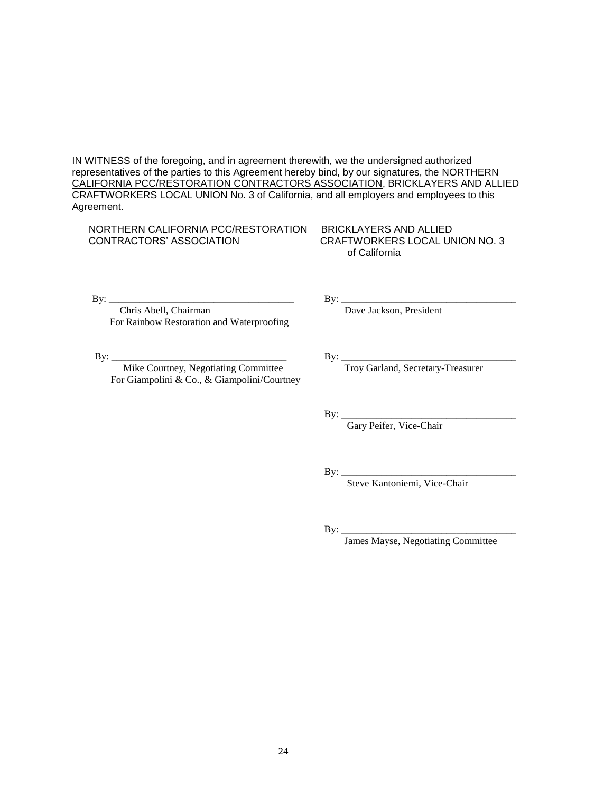IN WITNESS of the foregoing, and in agreement therewith, we the undersigned authorized representatives of the parties to this Agreement hereby bind, by our signatures, the NORTHERN CALIFORNIA PCC/RESTORATION CONTRACTORS ASSOCIATION, BRICKLAYERS AND ALLIED CRAFTWORKERS LOCAL UNION No. 3 of California, and all employers and employees to this Agreement.

 NORTHERN CALIFORNIA PCC/RESTORATION BRICKLAYERS AND ALLIED CONTRACTORS' ASSOCIATION CRAFTWORKERS LOCAL UNION NO. 3

of California

 $\text{By:} \_\_$ 

 Chris Abell, Chairman Dave Jackson, President For Rainbow Restoration and Waterproofing

Mike Courtney, Negotiating Committee Troy Garland, Secretary-Treasurer For Giampolini & Co., & Giampolini/Courtney

By: \_\_\_\_\_\_\_\_\_\_\_\_\_\_\_\_\_\_\_\_\_\_\_\_\_\_\_\_\_\_\_\_\_\_\_ By: \_\_\_\_\_\_\_\_\_\_\_\_\_\_\_\_\_\_\_\_\_\_\_\_\_\_\_\_\_\_\_\_\_\_\_

By: \_\_\_\_\_\_\_\_\_\_\_\_\_\_\_\_\_\_\_\_\_\_\_\_\_\_\_\_\_\_\_\_\_\_\_

Gary Peifer, Vice-Chair

By: $\_$ 

Steve Kantoniemi, Vice-Chair

By: \_\_\_\_\_\_\_\_\_\_\_\_\_\_\_\_\_\_\_\_\_\_\_\_\_\_\_\_\_\_\_\_\_\_\_

James Mayse, Negotiating Committee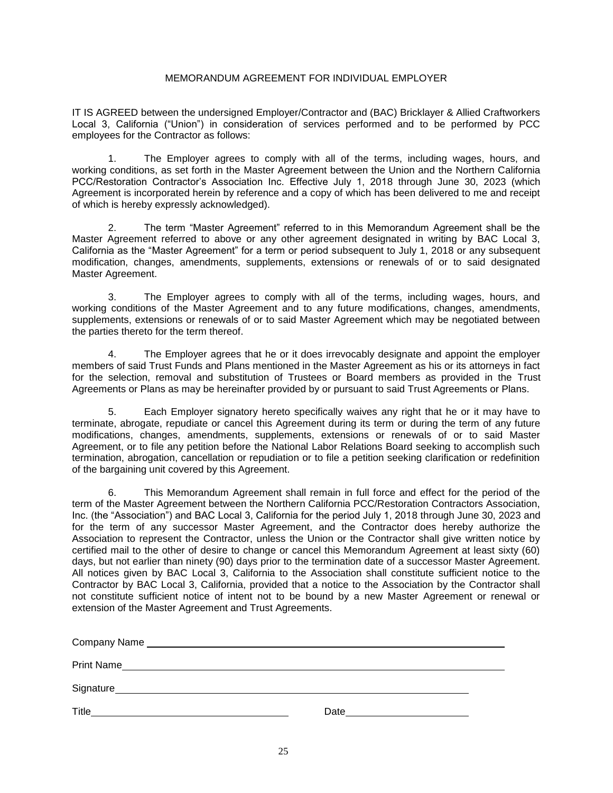## MEMORANDUM AGREEMENT FOR INDIVIDUAL EMPLOYER

IT IS AGREED between the undersigned Employer/Contractor and (BAC) Bricklayer & Allied Craftworkers Local 3, California ("Union") in consideration of services performed and to be performed by PCC employees for the Contractor as follows:

1. The Employer agrees to comply with all of the terms, including wages, hours, and working conditions, as set forth in the Master Agreement between the Union and the Northern California PCC/Restoration Contractor's Association Inc. Effective July 1, 2018 through June 30, 2023 (which Agreement is incorporated herein by reference and a copy of which has been delivered to me and receipt of which is hereby expressly acknowledged).

2. The term "Master Agreement" referred to in this Memorandum Agreement shall be the Master Agreement referred to above or any other agreement designated in writing by BAC Local 3, California as the "Master Agreement" for a term or period subsequent to July 1, 2018 or any subsequent modification, changes, amendments, supplements, extensions or renewals of or to said designated Master Agreement.

3. The Employer agrees to comply with all of the terms, including wages, hours, and working conditions of the Master Agreement and to any future modifications, changes, amendments, supplements, extensions or renewals of or to said Master Agreement which may be negotiated between the parties thereto for the term thereof.

4. The Employer agrees that he or it does irrevocably designate and appoint the employer members of said Trust Funds and Plans mentioned in the Master Agreement as his or its attorneys in fact for the selection, removal and substitution of Trustees or Board members as provided in the Trust Agreements or Plans as may be hereinafter provided by or pursuant to said Trust Agreements or Plans.

5. Each Employer signatory hereto specifically waives any right that he or it may have to terminate, abrogate, repudiate or cancel this Agreement during its term or during the term of any future modifications, changes, amendments, supplements, extensions or renewals of or to said Master Agreement, or to file any petition before the National Labor Relations Board seeking to accomplish such termination, abrogation, cancellation or repudiation or to file a petition seeking clarification or redefinition of the bargaining unit covered by this Agreement.

6. This Memorandum Agreement shall remain in full force and effect for the period of the term of the Master Agreement between the Northern California PCC/Restoration Contractors Association, Inc. (the "Association") and BAC Local 3, California for the period July 1, 2018 through June 30, 2023 and for the term of any successor Master Agreement, and the Contractor does hereby authorize the Association to represent the Contractor, unless the Union or the Contractor shall give written notice by certified mail to the other of desire to change or cancel this Memorandum Agreement at least sixty (60) days, but not earlier than ninety (90) days prior to the termination date of a successor Master Agreement. All notices given by BAC Local 3, California to the Association shall constitute sufficient notice to the Contractor by BAC Local 3, California, provided that a notice to the Association by the Contractor shall not constitute sufficient notice of intent not to be bound by a new Master Agreement or renewal or extension of the Master Agreement and Trust Agreements.

| <b>Print Name</b><br><u> 1980 - Johann Stein, marwolaethau a bhann an t-Amhair ann an t-Amhair an t-Amhair an t-Amhair an t-Amhair an</u> |                                                                                                                                                                                                                                |
|-------------------------------------------------------------------------------------------------------------------------------------------|--------------------------------------------------------------------------------------------------------------------------------------------------------------------------------------------------------------------------------|
|                                                                                                                                           |                                                                                                                                                                                                                                |
| Title<br><u>and the state of the state of the state of the state of the state of the state of the state of the state of th</u>            | Date and the contract of the contract of the contract of the contract of the contract of the contract of the contract of the contract of the contract of the contract of the contract of the contract of the contract of the c |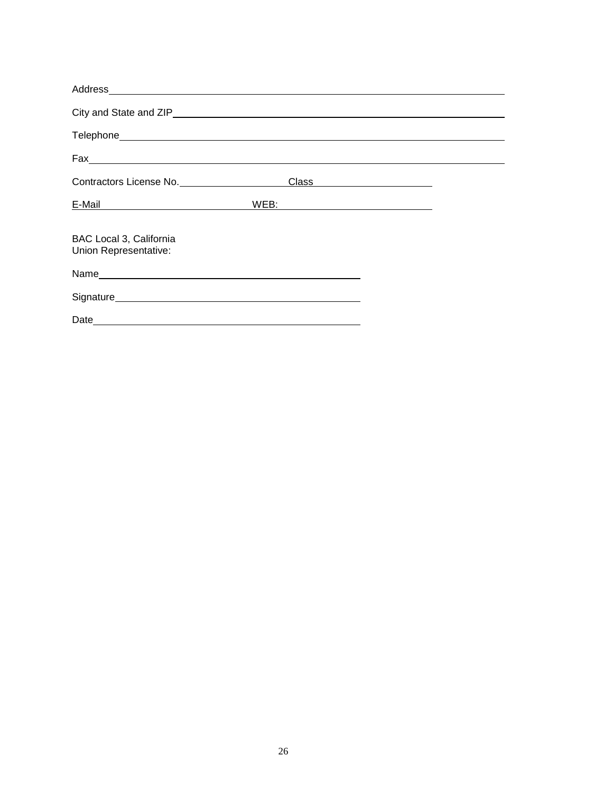| $\begin{picture}(180,10) \put(0,0){\vector(1,0){100}} \put(15,0){\vector(1,0){100}} \put(15,0){\vector(1,0){100}} \put(15,0){\vector(1,0){100}} \put(15,0){\vector(1,0){100}} \put(15,0){\vector(1,0){100}} \put(15,0){\vector(1,0){100}} \put(15,0){\vector(1,0){100}} \put(15,0){\vector(1,0){100}} \put(15,0){\vector(1,0){100}} \put(15,0){\vector(1,0){100}}$ |                             |            |  |
|--------------------------------------------------------------------------------------------------------------------------------------------------------------------------------------------------------------------------------------------------------------------------------------------------------------------------------------------------------------------|-----------------------------|------------|--|
| Contractors License No.                                                                                                                                                                                                                                                                                                                                            |                             | Class 2008 |  |
| <u>E-Mail 2008 - Carl Barbara and Barbara and Barbara and Barbara and Barbara and Barbara and Barbara and Barbara and Barbara and Barbara and Barbara and Barbara and Barbara and Barbara and Barbara and Barbara and Barbara an</u>                                                                                                                               | WEB: www.communications.com |            |  |
| BAC Local 3, California<br>Union Representative:                                                                                                                                                                                                                                                                                                                   |                             |            |  |
| Name experience and the second contract of the second contract of the second contract of the second contract of the second contract of the second contract of the second contract of the second contract of the second contrac                                                                                                                                     |                             |            |  |
|                                                                                                                                                                                                                                                                                                                                                                    |                             |            |  |
|                                                                                                                                                                                                                                                                                                                                                                    |                             |            |  |
|                                                                                                                                                                                                                                                                                                                                                                    |                             |            |  |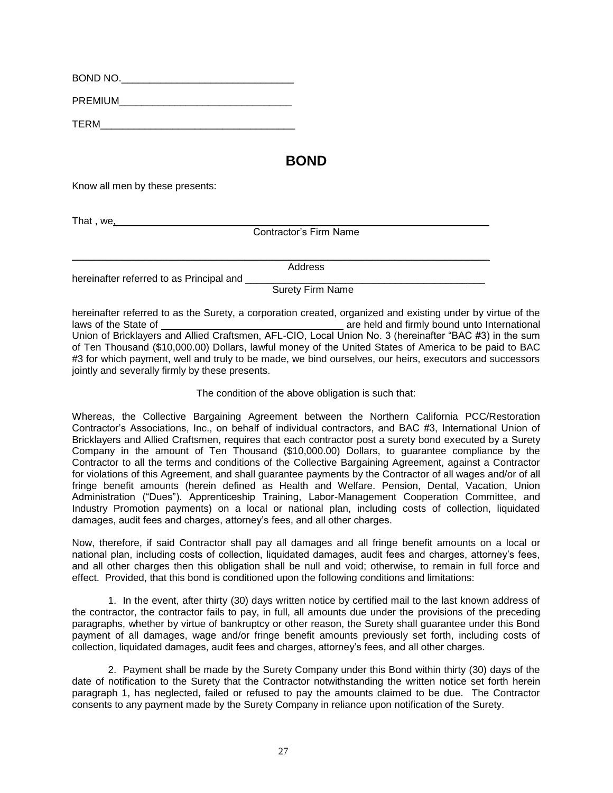| BOND NO.       |  |
|----------------|--|
| <b>PREMIUM</b> |  |
| TERM           |  |

## **BOND**

Know all men by these presents:

That , we, $\overline{\phantom{a}}$ 

Contractor's Firm Name

|                                          | Address                 |  |
|------------------------------------------|-------------------------|--|
| hereinafter referred to as Principal and |                         |  |
|                                          | <b>Surety Firm Name</b> |  |

hereinafter referred to as the Surety, a corporation created, organized and existing under by virtue of the laws of the State of are held and firmly bound unto International Union of Bricklayers and Allied Craftsmen, AFL-CIO, Local Union No. 3 (hereinafter "BAC #3) in the sum of Ten Thousand (\$10,000.00) Dollars, lawful money of the United States of America to be paid to BAC #3 for which payment, well and truly to be made, we bind ourselves, our heirs, executors and successors jointly and severally firmly by these presents.

The condition of the above obligation is such that:

Whereas, the Collective Bargaining Agreement between the Northern California PCC/Restoration Contractor's Associations, Inc., on behalf of individual contractors, and BAC #3, International Union of Bricklayers and Allied Craftsmen, requires that each contractor post a surety bond executed by a Surety Company in the amount of Ten Thousand (\$10,000.00) Dollars, to guarantee compliance by the Contractor to all the terms and conditions of the Collective Bargaining Agreement, against a Contractor for violations of this Agreement, and shall guarantee payments by the Contractor of all wages and/or of all fringe benefit amounts (herein defined as Health and Welfare. Pension, Dental, Vacation, Union Administration ("Dues"). Apprenticeship Training, Labor-Management Cooperation Committee, and Industry Promotion payments) on a local or national plan, including costs of collection, liquidated damages, audit fees and charges, attorney's fees, and all other charges.

Now, therefore, if said Contractor shall pay all damages and all fringe benefit amounts on a local or national plan, including costs of collection, liquidated damages, audit fees and charges, attorney's fees, and all other charges then this obligation shall be null and void; otherwise, to remain in full force and effect. Provided, that this bond is conditioned upon the following conditions and limitations:

1. In the event, after thirty (30) days written notice by certified mail to the last known address of the contractor, the contractor fails to pay, in full, all amounts due under the provisions of the preceding paragraphs, whether by virtue of bankruptcy or other reason, the Surety shall guarantee under this Bond payment of all damages, wage and/or fringe benefit amounts previously set forth, including costs of collection, liquidated damages, audit fees and charges, attorney's fees, and all other charges.

2. Payment shall be made by the Surety Company under this Bond within thirty (30) days of the date of notification to the Surety that the Contractor notwithstanding the written notice set forth herein paragraph 1, has neglected, failed or refused to pay the amounts claimed to be due. The Contractor consents to any payment made by the Surety Company in reliance upon notification of the Surety.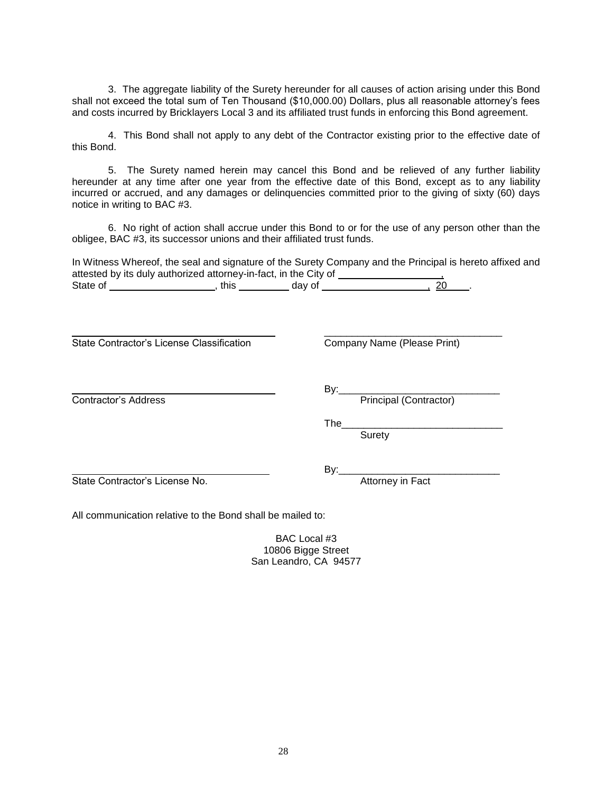3. The aggregate liability of the Surety hereunder for all causes of action arising under this Bond shall not exceed the total sum of Ten Thousand (\$10,000.00) Dollars, plus all reasonable attorney's fees and costs incurred by Bricklayers Local 3 and its affiliated trust funds in enforcing this Bond agreement.

4. This Bond shall not apply to any debt of the Contractor existing prior to the effective date of this Bond.

5. The Surety named herein may cancel this Bond and be relieved of any further liability hereunder at any time after one year from the effective date of this Bond, except as to any liability incurred or accrued, and any damages or delinquencies committed prior to the giving of sixty (60) days notice in writing to BAC #3.

6. No right of action shall accrue under this Bond to or for the use of any person other than the obligee, BAC #3, its successor unions and their affiliated trust funds.

In Witness Whereof, the seal and signature of the Surety Company and the Principal is hereto affixed and attested by its duly authorized attorney-in-fact, in the City of  $\frac{1}{\sqrt{1-\frac{1}{n}}}\frac{1}{\sqrt{1-\frac{1}{n}}}\frac{1}{\sqrt{1-\frac{1}{n}}}\frac{1}{\sqrt{1-\frac{1}{n}}}\frac{1}{\sqrt{1-\frac{1}{n}}}\frac{1}{\sqrt{1-\frac{1}{n}}}\frac{1}{\sqrt{1-\frac{1}{n}}}\frac{1}{\sqrt{1-\frac{1}{n}}}\frac{1}{\sqrt{1-\frac{1}{n}}}\frac{1}{\sqrt{1-\frac{$ State of \_\_\_\_\_\_\_\_\_\_\_\_\_\_\_\_\_\_\_\_\_, this \_\_\_\_\_\_\_\_\_\_ day of \_\_\_\_\_\_\_\_\_\_\_\_\_\_\_\_\_\_\_\_\_\_\_\_\_ 20 \_\_\_.

\_\_\_\_\_\_\_\_\_\_\_\_\_\_\_\_\_\_\_\_\_\_\_\_\_\_\_\_\_\_\_\_

State Contractor's License Classification Company Name (Please Print)

By:\_\_\_\_\_\_\_\_\_\_\_\_\_\_\_\_\_\_\_\_\_\_\_\_\_\_\_\_\_

**Contractor's Address** Principal (Contractor)

The\_\_\_\_\_\_\_\_\_\_\_\_\_\_\_\_\_\_\_\_\_\_\_\_\_\_\_\_\_ **Surety** 

State Contractor's License No.

By:\_\_\_\_\_\_\_\_\_\_\_\_\_\_\_\_\_\_\_\_\_\_\_\_\_\_\_\_\_

All communication relative to the Bond shall be mailed to:

BAC Local #3 10806 Bigge Street San Leandro, CA 94577